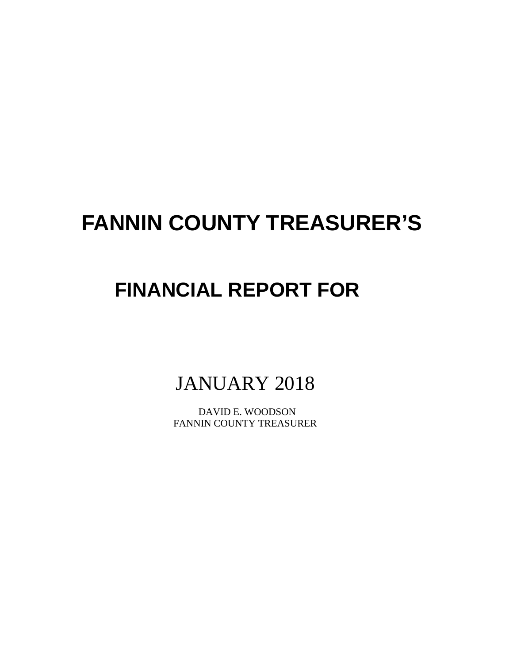# **FANNIN COUNTY TREASURER'S**

# **FINANCIAL REPORT FOR**

JANUARY 2018

 DAVID E. WOODSON FANNIN COUNTY TREASURER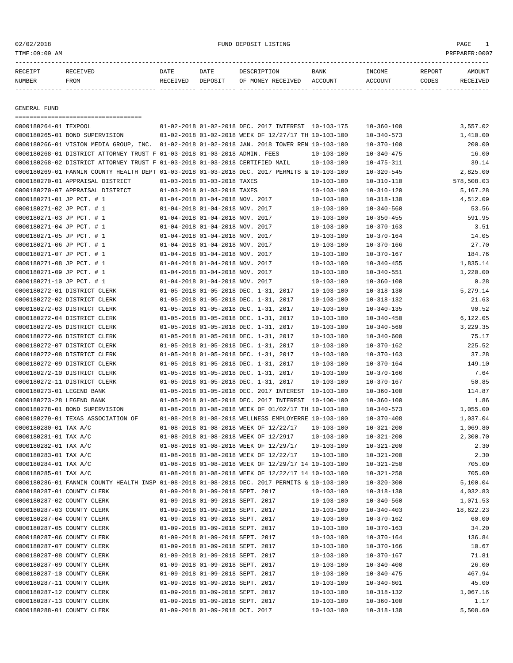02/02/2018 FUND DEPOSIT LISTING PAGE 1

| RECEIPT       |      | DATE     | DATE    | ⊤ON<br>ים הדר            | <b>BANK</b>    | TNCOME | REPORT | ∆M∩TINT |
|---------------|------|----------|---------|--------------------------|----------------|--------|--------|---------|
| <b>NUMBER</b> | FROM | RECEIVED | DEPOSIT | RECEIVED<br>MONE Y<br>∩ਜ | <b>ACCOUNT</b> | CCOINT | CODES  |         |

------------- ------------------------- ---------- ---------- ------------------- -------------- -------------- ------ ------------

GENERAL FUND

=================================== 0000180264-01 TEXPOOL 01-02-2018 01-02-2018 DEC. 2017 INTEREST 10-103-175 10-360-100 3,557.02 0000180265-01 BOND SUPERVISION 01-02-2018 01-02-2018 WEEK OF 12/27/17 TH 10-103-100 10-340-573 1,410.00 0000180266-01 VISION MEDIA GROUP, INC. 01-02-2018 01-02-2018 JAN. 2018 TOWER REN 10-103-100 10-370-100 200.00 0000180268-01 DISTRICT ATTORNEY TRUST F 01-03-2018 01-03-2018 ADMIN. FEES 10-103-100 10-340-475 16.00 0000180268-02 DISTRICT ATTORNEY TRUST F 01-03-2018 01-03-2018 CERTIFIED MAIL 10-103-100 10-475-311 39.14 0000180269-01 FANNIN COUNTY HEALTH DEPT 01-03-2018 01-03-2018 DEC. 2017 PERMITS & 10-103-100 10-320-545 2,825.00 0000180270-01 APPRAISAL DISTRICT 01-03-2018 01-03-2018 TAXES 10-103-100 10-310-110 578,508.03 0000180270-07 APPRAISAL DISTRICT 01-03-2018 01-03-2018 TAXES 10-103-100 10-310-120 5,167.28 0000180271-01 JP PCT. # 1 01-04-2018 01-04-2018 NOV. 2017 10-103-100 10-318-130 4,512.09 0000180271-02 JP PCT. # 1 01-04-2018 01-04-2018 NOV. 2017 10-103-100 10-340-560 53.56 0000180271-03 JP PCT. # 1 01-04-2018 01-04-2018 NOV. 2017 10-103-100 10-350-455 591.95 0000180271-04 JP PCT. # 1 01-04-2018 01-04-2018 NOV. 2017 10-103-100 10-370-163 3.51 0000180271-05 JP PCT. # 1 01-04-2018 01-04-2018 NOV. 2017 10-103-100 10-370-164 14.05 0000180271-06 JP PCT. # 1 01-04-2018 01-04-2018 NOV. 2017 10-103-100 10-370-166 27.70 0000180271-07 JP PCT. # 1 01-04-2018 01-04-2018 NOV. 2017 10-103-100 10-370-167 184.76 0000180271-08 JP PCT. # 1 01-04-2018 01-04-2018 NOV. 2017 10-103-100 10-340-455 1,835.14 0000180271-09 JP PCT. # 1 01-04-2018 01-04-2018 NOV. 2017 10-103-100 10-340-551 1,220.00 0000180271-10 JP PCT. # 1 01-04-2018 01-04-2018 NOV. 2017 10-103-100 10-360-100 0.28 0000180272-01 DISTRICT CLERK 01-05-2018 01-05-2018 DEC. 1-31, 2017 10-103-100 10-318-130 5,279.14 0000180272-02 DISTRICT CLERK 01-05-2018 01-05-2018 DEC. 1-31, 2017 10-103-100 10-318-132 21.63 0000180272-03 DISTRICT CLERK 01-05-2018 01-05-2018 DEC. 1-31, 2017 10-103-100 10-340-135 90.52 0000180272-04 DISTRICT CLERK 01-05-2018 01-05-2018 DEC. 1-31, 2017 10-103-100 10-340-450 6,122.05 0000180272-05 DISTRICT CLERK 01-05-2018 01-05-2018 DEC. 1-31, 2017 10-103-100 10-340-560 3,229.35 0000180272-06 DISTRICT CLERK 01-05-2018 01-05-2018 DEC. 1-31, 2017 10-103-100 10-340-600 75.17 0000180272-07 DISTRICT CLERK 01-05-2018 01-05-2018 DEC. 1-31, 2017 10-103-100 10-370-162 225.52 0000180272-08 DISTRICT CLERK 01-05-2018 01-05-2018 DEC. 1-31, 2017 10-103-100 10-370-163 37.28 0000180272-09 DISTRICT CLERK 01-05-2018 01-05-2018 DEC. 1-31, 2017 10-103-100 10-370-164 149.10 0000180272-10 DISTRICT CLERK 01-05-2018 01-05-2018 DEC. 1-31, 2017 10-103-100 10-370-166 7.64 0000180272-11 DISTRICT CLERK 01-05-2018 01-05-2018 DEC. 1-31, 2017 10-103-100 10-370-167 50.85 0000180273-01 LEGEND BANK 01-05-2018 01-05-2018 DEC. 2017 INTEREST 10-103-100 10-360-100 114.87 0000180273-28 LEGEND BANK  $01-05-2018$  01-05-2018 DEC. 2017 INTEREST 10-100-100  $10-360-100$  10-360-100 1.86 0000180278-01 BOND SUPERVISION 01-08-2018 01-08-2018 WEEK OF 01/02/17 TH 10-103-100 10-340-573 1,055.00 0000180279-01 TEXAS ASSOCIATION OF 01-08-2018 01-08-2018 WELLNESS EMPLOYERRE 10-103-100 10-370-408 1,037.04 0000180280-01 TAX A/C 01-08-2018 01-08-2018 WEEK OF 12/22/17 10-103-100 10-321-200 1,069.80 0000180281-01 TAX A/C 01-08-2018 01-08-2018 WEEK OF 12/2917 10-103-100 10-321-200 2,300.70 0000180282-01 TAX A/C 01-08-2018 01-08-2018 WEEK OF 12/29/17 10-103-100 10-321-200 2.30 0000180283-01 TAX A/C 01-08-2018 01-08-2018 WEEK OF 12/22/17 10-103-100 10-321-200 2.30 0000180284-01 TAX A/C 01-08-2018 01-08-2018 WEEK OF 12/29/17 14 10-103-100 10-321-250 705.00 0000180285-01 TAX A/C 01-08-2018 01-08-2018 WEEK OF 12/22/17 14 10-103-100 10-321-250 705.00 0000180286-01 FANNIN COUNTY HEALTH INSP 01-08-2018 01-08-2018 DEC. 2017 PERMITS & 10-103-100 10-320-300 5,100.04 0000180287-01 COUNTY CLERK 01-09-2018 01-09-2018 SEPT. 2017 10-103-100 10-318-130 4,032.83 0000180287-02 COUNTY CLERK 01-09-2018 01-09-2018 SEPT. 2017 10-103-100 10-340-560 1,071.53 0000180287-03 COUNTY CLERK 01-09-2018 01-09-2018 SEPT. 2017 10-103-100 10-340-403 18,622.23 0000180287-04 COUNTY CLERK 01-09-2018 01-09-2018 SEPT. 2017 10-103-100 10-370-162 60.00 0000180287-05 COUNTY CLERK 01-09-2018 01-09-2018 SEPT. 2017 10-103-100 10-370-163 34.20 0000180287-06 COUNTY CLERK 01-09-2018 01-09-2018 SEPT. 2017 10-103-100 10-370-164 136.84 0000180287-07 COUNTY CLERK 01-09-2018 01-09-2018 SEPT. 2017 10-103-100 10-370-166 10.67 0000180287-08 COUNTY CLERK 01-09-2018 01-09-2018 SEPT. 2017 10-103-100 10-370-167 71.81 0000180287-09 COUNTY CLERK 01-09-2018 01-09-2018 SEPT. 2017 10-103-100 10-340-400 26.00 0000180287-10 COUNTY CLERK 01-09-2018 01-09-2018 SEPT. 2017 10-103-100 10-340-475 467.94 0000180287-11 COUNTY CLERK 01-09-2018 01-09-2018 SEPT. 2017 10-103-100 10-340-601 45.00 0000180287-12 COUNTY CLERK 01-09-2018 01-09-2018 SEPT. 2017 10-103-100 10-318-132 1,067.16 0000180287-13 COUNTY CLERK 01-09-2018 01-09-2018 SEPT. 2017 10-103-100 10-360-100 1.17 0000180288-01 COUNTY CLERK 01-09-2018 01-09-2018 OCT. 2017 10-103-100 10-318-130 5,508.60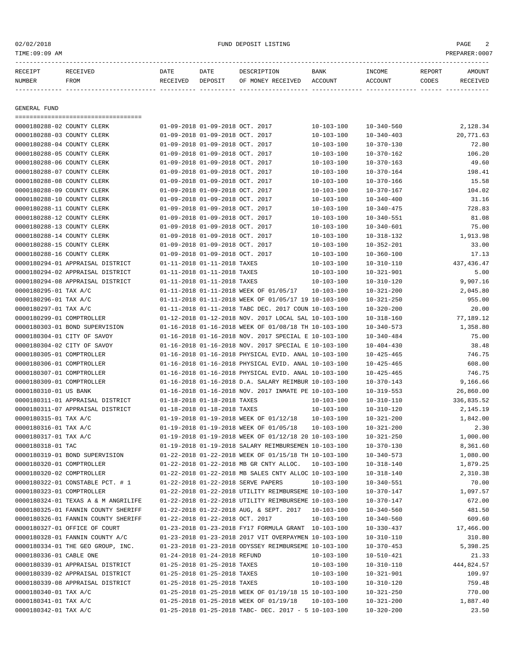# 02/02/2018 FUND DEPOSIT LISTING PAGE 2

| RECEIPT<br>NUMBER | RECEIVED<br>FROM | DATE<br>RECEIVED | DATE<br>DEPOSIT | DESCRIPTION<br>OF MONEY RECEIVED | BANK<br>ACCOUNT | INCOME<br>ACCOUNT | REPORT<br>CODES | AMOUNT<br>RECEIVED |
|-------------------|------------------|------------------|-----------------|----------------------------------|-----------------|-------------------|-----------------|--------------------|
|                   |                  |                  |                 |                                  |                 |                   |                 |                    |
|                   |                  |                  |                 |                                  |                 |                   |                 |                    |
| GENERAL FUND      |                  |                  |                 |                                  |                 |                   |                 |                    |
|                   |                  |                  |                 |                                  |                 |                   |                 |                    |
|                   |                  |                  |                 |                                  |                 |                   |                 |                    |

| 0000180288-02 COUNTY CLERK          | 01-09-2018 01-09-2018 OCT. 2017 |                                                          | $10 - 103 - 100$ | $10 - 340 - 560$ | 2,128.34    |
|-------------------------------------|---------------------------------|----------------------------------------------------------|------------------|------------------|-------------|
| 0000180288-03 COUNTY CLERK          | 01-09-2018 01-09-2018 OCT. 2017 |                                                          | $10 - 103 - 100$ | $10 - 340 - 403$ | 20,771.63   |
| 0000180288-04 COUNTY CLERK          | 01-09-2018 01-09-2018 OCT. 2017 |                                                          | $10 - 103 - 100$ | $10 - 370 - 130$ | 72.80       |
| 0000180288-05 COUNTY CLERK          | 01-09-2018 01-09-2018 OCT. 2017 |                                                          | $10 - 103 - 100$ | $10 - 370 - 162$ | 106.20      |
| 0000180288-06 COUNTY CLERK          | 01-09-2018 01-09-2018 OCT. 2017 |                                                          | $10 - 103 - 100$ | $10 - 370 - 163$ | 49.60       |
| 0000180288-07 COUNTY CLERK          | 01-09-2018 01-09-2018 OCT. 2017 |                                                          | $10 - 103 - 100$ | $10 - 370 - 164$ | 198.41      |
| 0000180288-08 COUNTY CLERK          | 01-09-2018 01-09-2018 OCT. 2017 |                                                          | $10 - 103 - 100$ | $10 - 370 - 166$ | 15.58       |
| 0000180288-09 COUNTY CLERK          | 01-09-2018 01-09-2018 OCT. 2017 |                                                          | $10 - 103 - 100$ | $10 - 370 - 167$ | 104.02      |
| 0000180288-10 COUNTY CLERK          | 01-09-2018 01-09-2018 OCT. 2017 |                                                          | $10 - 103 - 100$ | $10 - 340 - 400$ | 31.16       |
| 0000180288-11 COUNTY CLERK          | 01-09-2018 01-09-2018 OCT. 2017 |                                                          | $10 - 103 - 100$ | $10 - 340 - 475$ | 728.83      |
| 0000180288-12 COUNTY CLERK          | 01-09-2018 01-09-2018 OCT. 2017 |                                                          | $10 - 103 - 100$ | $10 - 340 - 551$ | 81.08       |
| 0000180288-13 COUNTY CLERK          | 01-09-2018 01-09-2018 OCT. 2017 |                                                          | $10 - 103 - 100$ | $10 - 340 - 601$ | 75.00       |
| 0000180288-14 COUNTY CLERK          | 01-09-2018 01-09-2018 OCT. 2017 |                                                          | $10 - 103 - 100$ | $10 - 318 - 132$ | 1,913.98    |
| 0000180288-15 COUNTY CLERK          | 01-09-2018 01-09-2018 OCT. 2017 |                                                          | $10 - 103 - 100$ | $10 - 352 - 201$ | 33.00       |
| 0000180288-16 COUNTY CLERK          | 01-09-2018 01-09-2018 OCT. 2017 |                                                          | $10 - 103 - 100$ | $10 - 360 - 100$ | 17.13       |
| 0000180294-01 APPRAISAL DISTRICT    | 01-11-2018 01-11-2018 TAXES     |                                                          | $10 - 103 - 100$ | $10 - 310 - 110$ | 437, 436.47 |
| 0000180294-02 APPRAISAL DISTRICT    | 01-11-2018 01-11-2018 TAXES     |                                                          | $10 - 103 - 100$ | $10 - 321 - 901$ | 5.00        |
| 0000180294-08 APPRAISAL DISTRICT    | 01-11-2018 01-11-2018 TAXES     |                                                          | $10 - 103 - 100$ | $10 - 310 - 120$ | 9,907.16    |
| 0000180295-01 TAX A/C               |                                 | 01-11-2018 01-11-2018 WEEK OF 01/05/17                   | 10-103-100       | $10 - 321 - 200$ | 2,045.80    |
| 0000180296-01 TAX A/C               |                                 | 01-11-2018 01-11-2018 WEEK OF 01/05/17 19 10-103-100     |                  | $10 - 321 - 250$ | 955.00      |
| 0000180297-01 TAX A/C               |                                 | 01-11-2018 01-11-2018 TABC DEC. 2017 COUN 10-103-100     |                  | $10 - 320 - 200$ | 20.00       |
| 0000180299-01 COMPTROLLER           |                                 | 01-12-2018 01-12-2018 NOV. 2017 LOCAL SAL 10-103-100     |                  | $10 - 318 - 160$ | 77,189.12   |
| 0000180303-01 BOND SUPERVISION      |                                 | 01-16-2018 01-16-2018 WEEK OF 01/08/18 TH 10-103-100     |                  | $10 - 340 - 573$ | 1,358.80    |
| 0000180304-01 CITY OF SAVOY         |                                 | 01-16-2018 01-16-2018 NOV. 2017 SPECIAL E 10-103-100     |                  | $10 - 340 - 484$ | 75.00       |
| 0000180304-02 CITY OF SAVOY         |                                 | 01-16-2018 01-16-2018 NOV. 2017 SPECIAL E 10-103-100     |                  | $10 - 404 - 430$ | 38.48       |
| 0000180305-01 COMPTROLLER           |                                 | 01-16-2018 01-16-2018 PHYSICAL EVID. ANAL 10-103-100     |                  | $10 - 425 - 465$ | 746.75      |
| 0000180306-01 COMPTROLLER           |                                 |                                                          |                  |                  | 608.00      |
|                                     |                                 | 01-16-2018 01-16-2018 PHYSICAL EVID. ANAL 10-103-100     |                  | $10 - 425 - 465$ |             |
| 0000180307-01 COMPTROLLER           |                                 | 01-16-2018 01-16-2018 PHYSICAL EVID. ANAL 10-103-100     |                  | $10 - 425 - 465$ | 746.75      |
| 0000180309-01 COMPTROLLER           |                                 | 01-16-2018 01-16-2018 D.A. SALARY REIMBUR 10-103-100     |                  | $10 - 370 - 143$ | 9,166.66    |
| 0000180310-01 US BANK               |                                 | 01-16-2018 01-16-2018 NOV. 2017 INMATE PE 10-103-100     |                  | $10 - 319 - 553$ | 26,860.00   |
| 0000180311-01 APPRAISAL DISTRICT    | 01-18-2018 01-18-2018 TAXES     |                                                          | $10 - 103 - 100$ | $10 - 310 - 110$ | 336,835.52  |
| 0000180311-07 APPRAISAL DISTRICT    | 01-18-2018 01-18-2018 TAXES     |                                                          | $10 - 103 - 100$ | $10 - 310 - 120$ | 2,145.19    |
| 0000180315-01 TAX A/C               |                                 | 01-19-2018 01-19-2018 WEEK OF 01/12/18                   | $10 - 103 - 100$ | $10 - 321 - 200$ | 1,842.00    |
| 0000180316-01 TAX A/C               |                                 | 01-19-2018 01-19-2018 WEEK OF 01/05/18                   | $10 - 103 - 100$ | $10 - 321 - 200$ | 2.30        |
| 0000180317-01 TAX A/C               |                                 | 01-19-2018 01-19-2018 WEEK OF 01/12/18 20 10-103-100     |                  | $10 - 321 - 250$ | 1,000.00    |
| 0000180318-01 TAC                   |                                 | 01-19-2018 01-19-2018 SALARY REIMBURSEMEN 10-103-100     |                  | $10 - 370 - 130$ | 8,361.60    |
| 0000180319-01 BOND SUPERVISION      |                                 | 01-22-2018 01-22-2018 WEEK OF 01/15/18 TH 10-103-100     |                  | $10 - 340 - 573$ | 1,080.00    |
| 0000180320-01 COMPTROLLER           |                                 | 01-22-2018 01-22-2018 MB GR CNTY ALLOC.                  | 10-103-100       | $10 - 318 - 140$ | 1,879.25    |
| 0000180320-02 COMPTROLLER           |                                 | 01-22-2018 01-22-2018 MB SALES CNTY ALLOC 10-103-100     |                  | $10 - 318 - 140$ | 2,310.38    |
| 0000180322-01 CONSTABLE PCT. # 1    |                                 | 01-22-2018 01-22-2018 SERVE PAPERS                       | 10-103-100       | $10 - 340 - 551$ | 70.00       |
| 0000180323-01 COMPTROLLER           |                                 | 01-22-2018 01-22-2018 UTILITY REIMBURSEME 10-103-100     |                  | $10 - 370 - 147$ | 1,097.57    |
| 0000180324-01 TEXAS A & M ANGRILIFE |                                 | 01-22-2018 01-22-2018 UTILITY REIMBURSEME 10-103-100     |                  | $10 - 370 - 147$ | 672.00      |
| 0000180325-01 FANNIN COUNTY SHERIFF |                                 | $01-22-2018$ $01-22-2018$ AUG, & SEPT. 2017 10-103-100   |                  | $10 - 340 - 560$ | 481.50      |
| 0000180326-01 FANNIN COUNTY SHERIFF | 01-22-2018 01-22-2018 OCT. 2017 |                                                          | $10 - 103 - 100$ | $10 - 340 - 560$ | 609.60      |
| 0000180327-01 OFFICE OF COURT       |                                 | 01-23-2018 01-23-2018 FY17 FORMULA GRANT 10-103-100      |                  | $10 - 330 - 437$ | 17,466.00   |
| 0000180328-01 FANNIN COUNTY A/C     |                                 | 01-23-2018 01-23-2018 2017 VIT OVERPAYMEN 10-103-100     |                  | $10 - 310 - 110$ | 310.80      |
| 0000180334-01 THE GEO GROUP, INC.   |                                 | 01-23-2018 01-23-2018 ODYSSEY REIMBURSEME 10-103-100     |                  | $10 - 370 - 453$ | 5,398.25    |
| 0000180336-01 CABLE ONE             | 01-24-2018 01-24-2018 REFUND    |                                                          | $10 - 103 - 100$ | $10 - 510 - 421$ | 21.33       |
| 0000180339-01 APPRAISAL DISTRICT    | 01-25-2018 01-25-2018 TAXES     |                                                          | $10 - 103 - 100$ | $10 - 310 - 110$ | 444,824.57  |
| 0000180339-02 APPRAISAL DISTRICT    | 01-25-2018 01-25-2018 TAXES     |                                                          | $10 - 103 - 100$ | $10 - 321 - 901$ | 109.97      |
| 0000180339-08 APPRAISAL DISTRICT    | 01-25-2018 01-25-2018 TAXES     |                                                          | $10 - 103 - 100$ | $10 - 310 - 120$ | 759.48      |
| 0000180340-01 TAX A/C               |                                 | 01-25-2018 01-25-2018 WEEK OF 01/19/18 15 10-103-100     |                  | $10 - 321 - 250$ | 770.00      |
| 0000180341-01 TAX A/C               |                                 | 01-25-2018 01-25-2018 WEEK OF 01/19/18                   | $10 - 103 - 100$ | $10 - 321 - 200$ | 1,887.40    |
| 0000180342-01 TAX A/C               |                                 | $01-25-2018$ $01-25-2018$ TABC- DEC. 2017 - 5 10-103-100 |                  | $10 - 320 - 200$ | 23.50       |
|                                     |                                 |                                                          |                  |                  |             |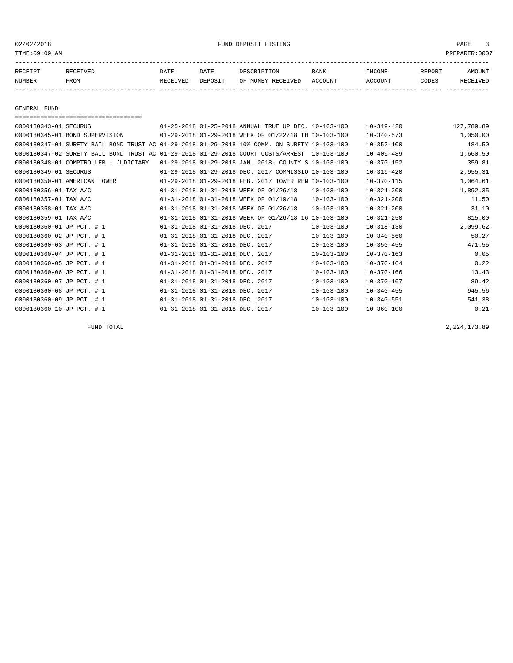02/02/2018 FUND DEPOSIT LISTING PAGE 3

| RECEIPT | <b>RECEIVED</b> | DATE     | DATE    | DESCRIPTION       | BANK    | <b>INCOME</b> | REPORT | <b>AMOUNT</b> |
|---------|-----------------|----------|---------|-------------------|---------|---------------|--------|---------------|
| NUMBER  | FROM            | RECEIVED | DEPOSIT | OF MONEY RECEIVED | ACCOUNT | ACCOUNT       | CODES  | RECEIVEL      |
|         |                 |          |         |                   |         |               |        |               |

GENERAL FUND

| ====================================                                                         |                                        |                                                          |                  |                  |            |
|----------------------------------------------------------------------------------------------|----------------------------------------|----------------------------------------------------------|------------------|------------------|------------|
| 0000180343-01 SECURUS                                                                        |                                        | 01-25-2018 01-25-2018 ANNUAL TRUE UP DEC. 10-103-100     |                  | $10 - 319 - 420$ | 127,789.89 |
| 0000180345-01 BOND SUPERVISION                                                               |                                        | 01-29-2018 01-29-2018 WEEK OF 01/22/18 TH 10-103-100     |                  | $10 - 340 - 573$ | 1,050.00   |
| 0000180347-01 SURETY BAIL BOND TRUST AC 01-29-2018 01-29-2018 10% COMM, ON SURETY 10-103-100 |                                        |                                                          |                  | $10 - 352 - 100$ | 184.50     |
| 0000180347-02 SURETY BAIL BOND TRUST AC 01-29-2018 01-29-2018 COURT COSTS/ARREST             |                                        |                                                          | $10 - 103 - 100$ | $10 - 409 - 489$ | 1,660.50   |
| $0000180348 - 01$ COMPTROLLER - JUDICIARY                                                    |                                        | $01-29-2018$ $01-29-2018$ JAN. 2018- COUNTY S 10-103-100 |                  | $10 - 370 - 152$ | 359.81     |
| 0000180349-01 SECURUS                                                                        |                                        | 01-29-2018 01-29-2018 DEC. 2017 COMMISSIO 10-103-100     |                  | $10 - 319 - 420$ | 2,955.31   |
| 0000180350-01 AMERICAN TOWER                                                                 |                                        | 01-29-2018 01-29-2018 FEB. 2017 TOWER REN 10-103-100     |                  | $10 - 370 - 115$ | 1,064.61   |
| 0000180356-01 TAX A/C                                                                        | 01-31-2018 01-31-2018 WEEK OF 01/26/18 |                                                          | $10 - 103 - 100$ | $10 - 321 - 200$ | 1,892.35   |
| 0000180357-01 TAX A/C                                                                        | 01-31-2018 01-31-2018 WEEK OF 01/19/18 |                                                          | $10 - 103 - 100$ | $10 - 321 - 200$ | 11.50      |
| 0000180358-01 TAX A/C                                                                        | 01-31-2018 01-31-2018 WEEK OF 01/26/18 |                                                          | $10 - 103 - 100$ | $10 - 321 - 200$ | 31.10      |
| 0000180359-01 TAX A/C                                                                        |                                        | 01-31-2018 01-31-2018 WEEK OF 01/26/18 16 10-103-100     |                  | $10 - 321 - 250$ | 815.00     |
| 0000180360-01 JP PCT. # 1                                                                    | 01-31-2018 01-31-2018 DEC. 2017        |                                                          | $10 - 103 - 100$ | $10 - 318 - 130$ | 2,099.62   |
| 0000180360-02 JP PCT. # 1                                                                    | 01-31-2018 01-31-2018 DEC. 2017        |                                                          | $10 - 103 - 100$ | $10 - 340 - 560$ | 50.27      |
| 0000180360-03 JP PCT. # 1                                                                    | 01-31-2018 01-31-2018 DEC. 2017        |                                                          | $10 - 103 - 100$ | $10 - 350 - 455$ | 471.55     |
| 0000180360-04 JP PCT. # 1                                                                    | 01-31-2018 01-31-2018 DEC. 2017        |                                                          | $10 - 103 - 100$ | $10 - 370 - 163$ | 0.05       |
| 0000180360-05 JP PCT. # 1                                                                    | 01-31-2018 01-31-2018 DEC.             | 2017                                                     | $10 - 103 - 100$ | $10 - 370 - 164$ | 0.22       |
| 0000180360-06 JP PCT. # 1                                                                    | 01-31-2018 01-31-2018 DEC. 2017        |                                                          | $10 - 103 - 100$ | $10 - 370 - 166$ | 13.43      |
| 0000180360-07 JP PCT. # 1                                                                    | 01-31-2018 01-31-2018 DEC. 2017        |                                                          | $10 - 103 - 100$ | $10 - 370 - 167$ | 89.42      |
| 0000180360-08 JP PCT. # 1                                                                    | 01-31-2018 01-31-2018 DEC. 2017        |                                                          | $10 - 103 - 100$ | $10 - 340 - 455$ | 945.56     |
| 0000180360-09 JP PCT. # 1                                                                    | 01-31-2018 01-31-2018 DEC. 2017        |                                                          | $10 - 103 - 100$ | $10 - 340 - 551$ | 541.38     |
| 0000180360-10 JP PCT. # 1                                                                    | 01-31-2018 01-31-2018 DEC. 2017        |                                                          | $10 - 103 - 100$ | $10 - 360 - 100$ | 0.21       |

FUND TOTAL 2,224,173.89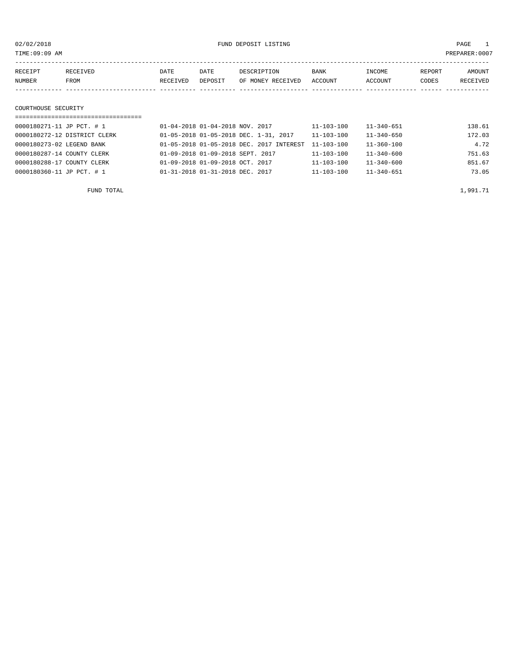| 02/02/2018<br>TIME:09:09 AM                                                      |                                             |                 | FUND DEPOSIT LISTING                  | PAGE<br>PREPARER: 0007               |                                      |                 |                    |
|----------------------------------------------------------------------------------|---------------------------------------------|-----------------|---------------------------------------|--------------------------------------|--------------------------------------|-----------------|--------------------|
| <b>RECEIVED</b><br>RECEIPT<br>NUMBER<br>FROM                                     | DATE<br>RECEIVED                            | DATE<br>DEPOSIT | DESCRIPTION<br>OF MONEY RECEIVED      | BANK<br>ACCOUNT                      | INCOME<br>ACCOUNT                    | REPORT<br>CODES | AMOUNT<br>RECEIVED |
| COURTHOUSE SECURITY<br>0000180271-11 JP PCT. # 1<br>0000180272-12 DISTRICT CLERK | $01 - 04 - 2018$ $01 - 04 - 2018$ NOV, 2017 |                 | 01-05-2018 01-05-2018 DEC. 1-31, 2017 | $11 - 103 - 100$<br>$11 - 103 - 100$ | $11 - 340 - 651$<br>$11 - 340 - 650$ |                 | 138.61<br>172.03   |

| FUND TOTAL                 |                                                     |                  |                  | 1,991.71 |
|----------------------------|-----------------------------------------------------|------------------|------------------|----------|
| 0000180360-11 JP PCT. # 1  | 01-31-2018 01-31-2018 DEC. 2017                     | 11-103-100       | $11 - 340 - 651$ | 73.05    |
| 0000180288-17 COUNTY CLERK | 01-09-2018 01-09-2018 OCT. 2017                     | $11 - 103 - 100$ | $11 - 340 - 600$ | 851.67   |
| 0000180287-14 COUNTY CLERK | 01-09-2018 01-09-2018 SEPT. 2017                    | $11 - 103 - 100$ | $11 - 340 - 600$ | 751.63   |
| 0000180273-02 LEGEND BANK  | 01-05-2018 01-05-2018 DEC. 2017 INTEREST 11-103-100 |                  | $11 - 360 - 100$ | 4.72     |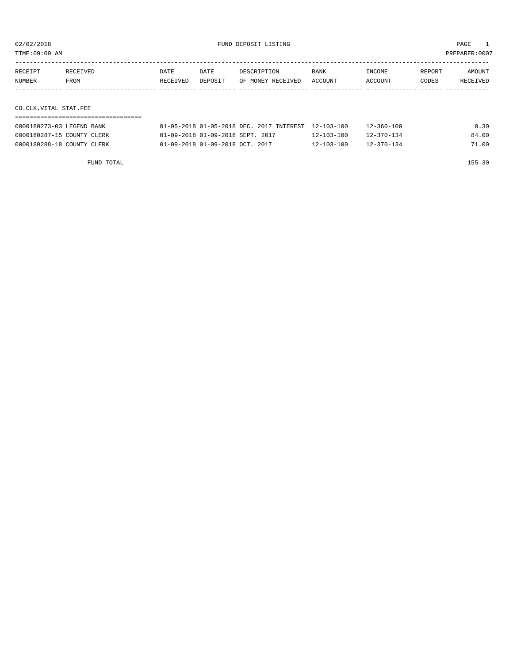TIME:09:09 AM PREPARER:0007

| RECEIPT | <b>RECEIVED</b> | DATE     | DATE    | DESCRIPTION       | <b>BANK</b> | INCOME  | REPORT | AMOUNT   |
|---------|-----------------|----------|---------|-------------------|-------------|---------|--------|----------|
| NUMBER  | <b>FROM</b>     | RECEIVED | DEPOSIT | OF MONEY RECEIVED | ACCOUNT     | ACCOUNT | CODES  | RECEIVED |
|         |                 |          |         |                   |             |         |        |          |

CO.CLK.VITAL STAT.FEE

| 0000180273-03 LEGEND BANK  | 01-05-2018 01-05-2018 DEC, 2017 INTEREST 12-103-100 |                  | $12 - 360 - 100$ | 0.30  |
|----------------------------|-----------------------------------------------------|------------------|------------------|-------|
| 0000180287-15 COUNTY CLERK | 01-09-2018 01-09-2018 SEPT, 2017                    | $12 - 103 - 100$ | $12 - 370 - 134$ | 84.00 |
| 0000180288-18 COUNTY CLERK | 01-09-2018 01-09-2018 OCT. 2017                     | $12 - 103 - 100$ | $12 - 370 - 134$ | 71.00 |

FUND TOTAL 155.30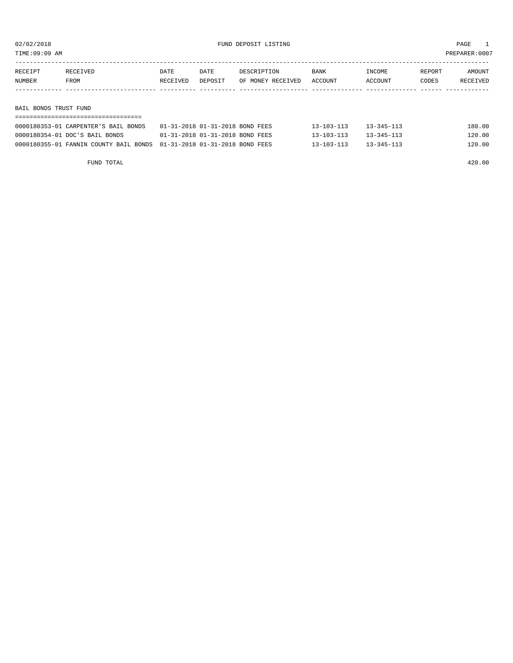TIME:09:09 AM PREPARER:0007

| RECEIPT | RECEIVED              | DATE     | DATE    | DESCRIPTION       | BANK    | INCOME  | REPORT | AMOUNT   |  |  |
|---------|-----------------------|----------|---------|-------------------|---------|---------|--------|----------|--|--|
| NUMBER  | FROM                  | RECEIVED | DEPOSIT | OF MONEY RECEIVED | ACCOUNT | ACCOUNT | CODES  | RECEIVED |  |  |
|         |                       |          |         |                   |         |         |        |          |  |  |
|         |                       |          |         |                   |         |         |        |          |  |  |
|         | BAIL BONDS TRUST FUND |          |         |                   |         |         |        |          |  |  |

| 0000180353-01 CARPENTER'S BAIL BONDS                                      | 01-31-2018 01-31-2018 BOND FEES | 13-103-113       | $13 - 345 - 113$ | 180.00 |  |  |  |  |  |  |
|---------------------------------------------------------------------------|---------------------------------|------------------|------------------|--------|--|--|--|--|--|--|
| 0000180354-01 DOC'S BAIL BONDS                                            | 01-31-2018 01-31-2018 BOND FEES | $13 - 103 - 113$ | $13 - 345 - 113$ | 120.00 |  |  |  |  |  |  |
| 0000180355-01 FANNIN COUNTY BAIL BONDS  01-31-2018  01-31-2018  BOND FEES |                                 | $13 - 103 - 113$ | $13 - 345 - 113$ | 120.00 |  |  |  |  |  |  |

FUND TOTAL 420.00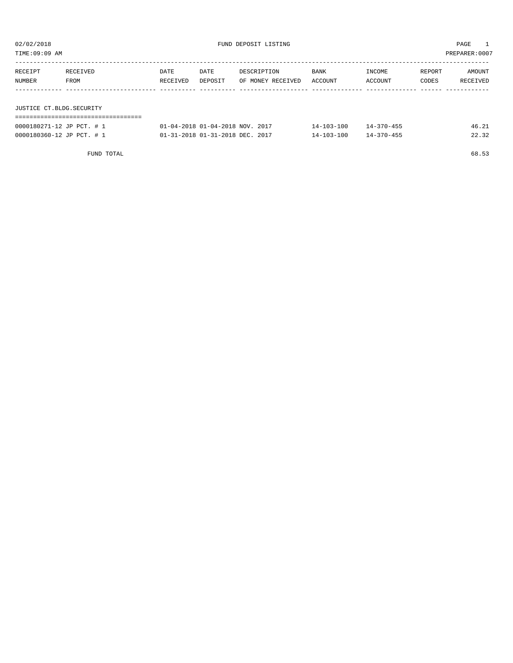| TIME:09:09 AM<br>PREPARER:0007 |          |          |         |                   |         |         |        |          |  |
|--------------------------------|----------|----------|---------|-------------------|---------|---------|--------|----------|--|
|                                |          |          |         |                   |         |         |        |          |  |
| RECEIPT                        | RECEIVED | DATE     | DATE    | DESCRIPTION       | BANK    | INCOME  | REPORT | AMOUNT   |  |
| NUMBER                         | FROM     | RECEIVED | DEPOSIT | OF MONEY RECEIVED | ACCOUNT | ACCOUNT | CODES  | RECEIVED |  |
|                                |          |          |         |                   |         |         |        |          |  |
|                                |          |          |         |                   |         |         |        |          |  |
| JUSTICE CT.BLDG.SECURITY       |          |          |         |                   |         |         |        |          |  |
|                                |          |          |         |                   |         |         |        |          |  |

| 0000180271-12 JP PCT. # 1 | 01-04-2018 01-04-2018 NOV. 2017     | $14 - 103 - 100$ | $14 - 370 - 455$ |       |
|---------------------------|-------------------------------------|------------------|------------------|-------|
| 0000180360-12 JP PCT. # 1 | $01-31-2018$ $01-31-2018$ DEC. 2017 | $14 - 103 - 100$ | $14 - 370 - 455$ | 22.32 |

FUND TOTAL 68.53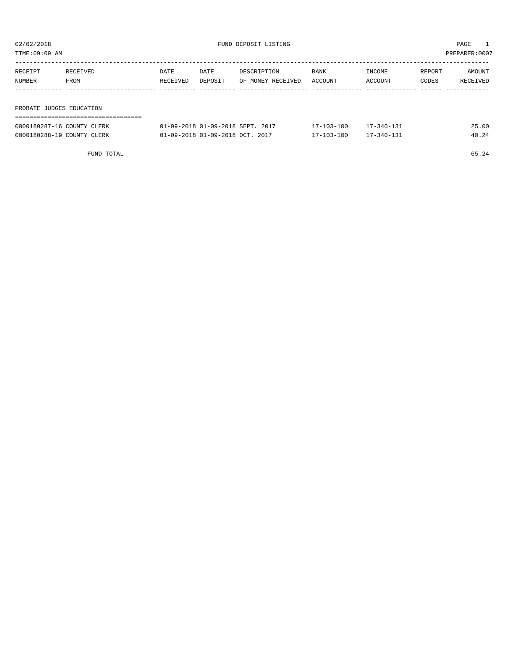TIME:09:09 AM PREPARER:0007

| RECEIPT                  | RECEIVED | DATE     | DATE    | DESCRIPTION       | <b>BANK</b> | INCOME  | REPORT | AMOUNT   |
|--------------------------|----------|----------|---------|-------------------|-------------|---------|--------|----------|
| NUMBER                   | FROM     | RECEIVED | DEPOSIT | OF MONEY RECEIVED | ACCOUNT     | ACCOUNT | CODES  | RECEIVED |
|                          |          |          |         |                   |             |         |        |          |
|                          |          |          |         |                   |             |         |        |          |
| PROBATE JUDGES EDUCATION |          |          |         |                   |             |         |        |          |
|                          |          |          |         |                   |             |         |        |          |

| 0000180287-16 COUNTY CLERK | 01-09-2018 01-09-2018 SEPT. 2017 | $17 - 103 - 100$ | $17 - 340 - 131$ | 25.00 |
|----------------------------|----------------------------------|------------------|------------------|-------|
| 0000180288-19 COUNTY CLERK | 01-09-2018 01-09-2018 OCT. 2017  | $17 - 103 - 100$ | $17 - 340 - 131$ | 40.24 |

FUND TOTAL  $65.24$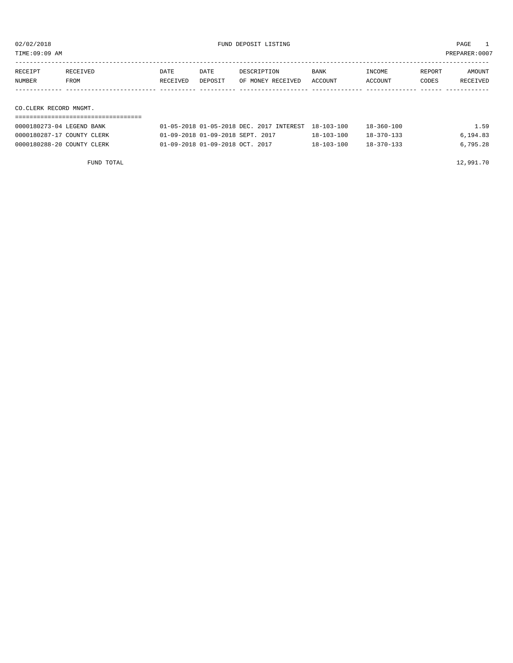TIME:09:09 AM PREPARER:0007

| RECEIPT                                                                                                                                                                                                                         | RECEIVED | DATE     | DATE    | DESCRIPTION       | <b>BANK</b> | INCOME  | REPORT | AMOUNT   |
|---------------------------------------------------------------------------------------------------------------------------------------------------------------------------------------------------------------------------------|----------|----------|---------|-------------------|-------------|---------|--------|----------|
| NUMBER                                                                                                                                                                                                                          | FROM     | RECEIVED | DEPOSIT | OF MONEY RECEIVED | ACCOUNT     | ACCOUNT | CODES  | RECEIVED |
|                                                                                                                                                                                                                                 |          |          |         |                   |             |         |        |          |
|                                                                                                                                                                                                                                 |          |          |         |                   |             |         |        |          |
| $\sim$ . The contract of the contract of the contract of the contract of the contract of the contract of the contract of the contract of the contract of the contract of the contract of the contract of the contract of the co |          |          |         |                   |             |         |        |          |

CO.CLERK RECORD MNGMT.

| 0000180273-04 LEGEND BANK  | 01-05-2018 01-05-2018 DEC. 2017 INTEREST 18-103-100 |            | $18 - 360 - 100$ | 1.59     |
|----------------------------|-----------------------------------------------------|------------|------------------|----------|
| 0000180287-17 COUNTY CLERK | 01-09-2018 01-09-2018 SEPT. 2017                    | 18-103-100 | $18 - 370 - 133$ | 6,194.83 |
| 0000180288-20 COUNTY CLERK | 01-09-2018 01-09-2018 OCT. 2017                     | 18-103-100 | $18 - 370 - 133$ | 6.795.28 |

FUND TOTAL 12,991.70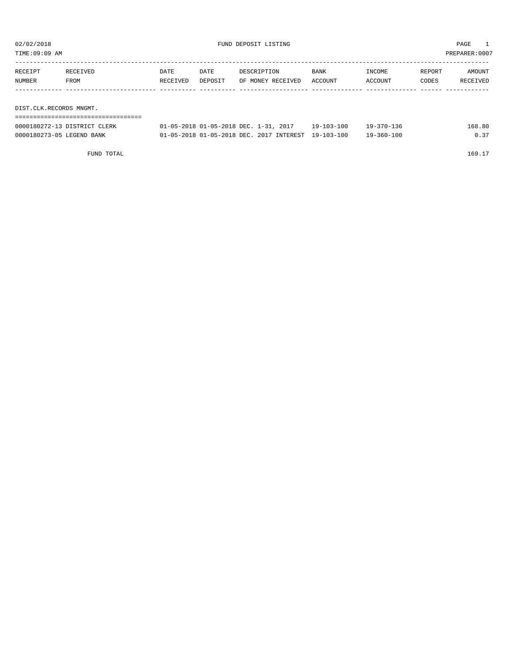| TIME:09:09 AM           |          |          |         |                   |         |         | PREPARER: 0007 |          |
|-------------------------|----------|----------|---------|-------------------|---------|---------|----------------|----------|
|                         |          |          |         |                   |         |         |                |          |
| RECEIPT                 | RECEIVED | DATE     | DATE    | DESCRIPTION       | BANK    | INCOME  | REPORT         | AMOUNT   |
| NUMBER                  | FROM     | RECEIVED | DEPOSIT | OF MONEY RECEIVED | ACCOUNT | ACCOUNT | CODES          | RECEIVED |
|                         |          |          |         |                   |         |         |                |          |
|                         |          |          |         |                   |         |         |                |          |
| DIST.CLK.RECORDS MNGMT. |          |          |         |                   |         |         |                |          |
|                         |          |          |         |                   |         |         |                |          |

| 0000180272-13 DISTRICT<br>CLERK | 1-05-2018 DEC<br>-05-2018 01. | 201<br>$1 - 31$         | ח י<br>$10 - 1$ | $370 -$<br>136<br>$Q -$ | .68.80        |
|---------------------------------|-------------------------------|-------------------------|-----------------|-------------------------|---------------|
| 0000180273-05 LEGEND<br>BANK    | 1-05-2018 01-05-2018 DEC      | 2017<br><b>TNTEREST</b> | 19-103-100      | $9 - 360 - 100$         | $\sim$ $\sim$ |

FUND TOTAL 169.17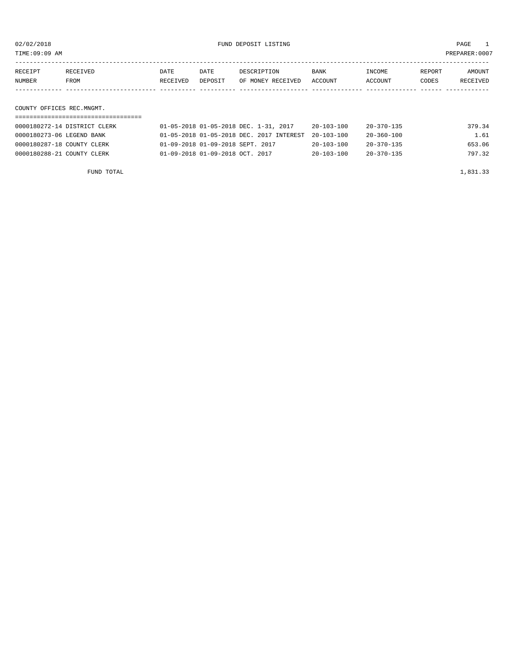TIME:09:09 AM PREPARER:0007

| RECEIPT                                                                                                                                                                                                                         | RECEIVED    | DATE     | DATE    | DESCRIPTION       | <b>BANK</b> | INCOME  | REPORT | AMOUNT   |
|---------------------------------------------------------------------------------------------------------------------------------------------------------------------------------------------------------------------------------|-------------|----------|---------|-------------------|-------------|---------|--------|----------|
| NUMBER                                                                                                                                                                                                                          | <b>FROM</b> | RECEIVED | DEPOSIT | OF MONEY RECEIVED | ACCOUNT     | ACCOUNT | CODES  | RECEIVED |
|                                                                                                                                                                                                                                 |             |          |         |                   |             |         |        |          |
|                                                                                                                                                                                                                                 |             |          |         |                   |             |         |        |          |
| $\sim$ . The contract of the contract of the contract of the contract of the contract of the contract of the contract of the contract of the contract of the contract of the contract of the contract of the contract of the co |             |          |         |                   |             |         |        |          |

# COUNTY OFFICES REC.MNGMT.

| 0000180272-14 DISTRICT CLERK | 01-05-2018 01-05-2018 DEC. 1-31, 2017               | $20 - 103 - 100$ | $20 - 370 - 135$ | 379.34 |
|------------------------------|-----------------------------------------------------|------------------|------------------|--------|
| 0000180273-06 LEGEND BANK    | 01-05-2018 01-05-2018 DEC. 2017 INTEREST 20-103-100 |                  | 20-360-100       | 1.61   |
| 0000180287-18 COUNTY CLERK   | 01-09-2018 01-09-2018 SEPT. 2017                    | $20 - 103 - 100$ | 20-370-135       | 653.06 |
| 0000180288-21 COUNTY CLERK   | 01-09-2018 01-09-2018 OCT. 2017                     | $20 - 103 - 100$ | 20-370-135       | 797.32 |

FUND TOTAL  $1,831.33$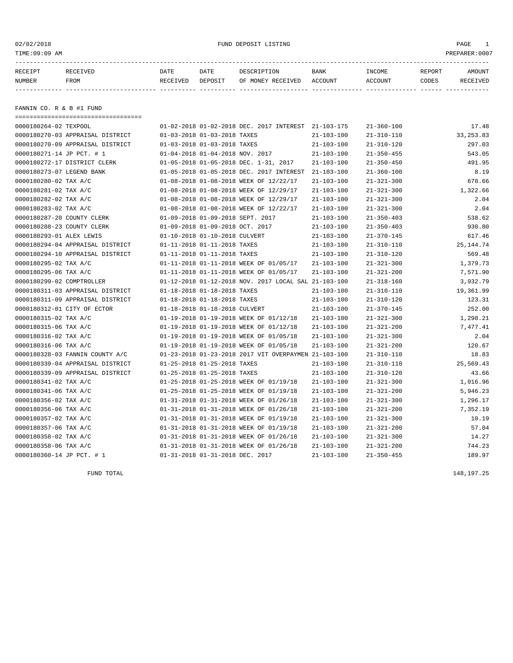# 02/02/2018 FUND DEPOSIT LISTING PAGE 1

| RECEIPT | <b>RECEIVED</b> | DATE     | DATE    | DESCRIPTION          | <b>BANK</b>    | INCOME  | <b>REPORT</b> | AMOUNT          |
|---------|-----------------|----------|---------|----------------------|----------------|---------|---------------|-----------------|
| NUMBER  | FROM            | RECEIVED | DEPOSIT | RECEIVED<br>OF MONEY | <b>ACCOUNT</b> | ACCOUNT | CODES         | <b>RECEIVED</b> |
|         |                 |          |         |                      |                |         |               |                 |

FANNIN CO. R & B #1 FUND

| ==================================== |                                 |                                 |                                                      |                  |                  |            |
|--------------------------------------|---------------------------------|---------------------------------|------------------------------------------------------|------------------|------------------|------------|
| 0000180264-02 TEXPOOL                |                                 |                                 | 01-02-2018 01-02-2018 DEC. 2017 INTEREST 21-103-175  |                  | $21 - 360 - 100$ | 17.48      |
| 0000180270-03 APPRAISAL DISTRICT     | 01-03-2018 01-03-2018 TAXES     |                                 |                                                      | $21 - 103 - 100$ | $21 - 310 - 110$ | 33, 253.83 |
| 0000180270-09 APPRAISAL DISTRICT     | 01-03-2018 01-03-2018 TAXES     |                                 |                                                      | $21 - 103 - 100$ | $21 - 310 - 120$ | 297.03     |
| 0000180271-14 JP PCT. # 1            | 01-04-2018 01-04-2018 NOV. 2017 |                                 |                                                      | $21 - 103 - 100$ | $21 - 350 - 455$ | 543.05     |
| 0000180272-17 DISTRICT CLERK         |                                 |                                 | 01-05-2018 01-05-2018 DEC. 1-31, 2017                | $21 - 103 - 100$ | $21 - 350 - 450$ | 491.95     |
| 0000180273-07 LEGEND BANK            |                                 |                                 | 01-05-2018 01-05-2018 DEC. 2017 INTEREST             | 21-103-100       | $21 - 360 - 100$ | 8.19       |
| 0000180280-02 TAX A/C                |                                 |                                 | 01-08-2018 01-08-2018 WEEK OF 12/22/17               | $21 - 103 - 100$ | $21 - 321 - 300$ | 678.66     |
| 0000180281-02 TAX A/C                |                                 |                                 | 01-08-2018 01-08-2018 WEEK OF 12/29/17               | $21 - 103 - 100$ | $21 - 321 - 300$ | 1,322.66   |
| 0000180282-02 TAX A/C                |                                 |                                 | 01-08-2018 01-08-2018 WEEK OF 12/29/17               | $21 - 103 - 100$ | $21 - 321 - 300$ | 2.04       |
| 0000180283-02 TAX A/C                |                                 |                                 | 01-08-2018 01-08-2018 WEEK OF 12/22/17               | $21 - 103 - 100$ | $21 - 321 - 300$ | 2.04       |
| 0000180287-20 COUNTY CLERK           |                                 |                                 | 01-09-2018 01-09-2018 SEPT. 2017                     | $21 - 103 - 100$ | $21 - 350 - 403$ | 538.62     |
| 0000180288-23 COUNTY CLERK           | 01-09-2018 01-09-2018 OCT. 2017 |                                 |                                                      | $21 - 103 - 100$ | $21 - 350 - 403$ | 930.80     |
| 0000180293-01 ALEX LEWIS             | 01-10-2018 01-10-2018 CULVERT   |                                 |                                                      | $21 - 103 - 100$ | $21 - 370 - 145$ | 617.46     |
| 0000180294-04 APPRAISAL DISTRICT     | 01-11-2018 01-11-2018 TAXES     |                                 |                                                      | $21 - 103 - 100$ | $21 - 310 - 110$ | 25, 144.74 |
| 0000180294-10 APPRAISAL DISTRICT     | 01-11-2018 01-11-2018 TAXES     |                                 |                                                      | $21 - 103 - 100$ | $21 - 310 - 120$ | 569.48     |
| 0000180295-02 TAX A/C                |                                 |                                 | 01-11-2018 01-11-2018 WEEK OF 01/05/17               | $21 - 103 - 100$ | $21 - 321 - 300$ | 1,379.73   |
| 0000180295-06 TAX A/C                |                                 |                                 | 01-11-2018 01-11-2018 WEEK OF 01/05/17               | $21 - 103 - 100$ | $21 - 321 - 200$ | 7,571.90   |
| 0000180299-02 COMPTROLLER            |                                 |                                 | 01-12-2018 01-12-2018 NOV. 2017 LOCAL SAL 21-103-100 |                  | $21 - 318 - 160$ | 3,932.79   |
| 0000180311-03 APPRAISAL DISTRICT     | 01-18-2018 01-18-2018 TAXES     |                                 |                                                      | $21 - 103 - 100$ | $21 - 310 - 110$ | 19,361.99  |
| 0000180311-09 APPRAISAL DISTRICT     | 01-18-2018 01-18-2018 TAXES     |                                 |                                                      | $21 - 103 - 100$ | $21 - 310 - 120$ | 123.31     |
| 0000180312-01 CITY OF ECTOR          | 01-18-2018 01-18-2018 CULVERT   |                                 |                                                      | $21 - 103 - 100$ | $21 - 370 - 145$ | 252.00     |
| 0000180315-02 TAX A/C                |                                 |                                 | 01-19-2018 01-19-2018 WEEK OF 01/12/18               | $21 - 103 - 100$ | $21 - 321 - 300$ | 1,298.21   |
| 0000180315-06 TAX A/C                |                                 |                                 | 01-19-2018 01-19-2018 WEEK OF 01/12/18               | $21 - 103 - 100$ | $21 - 321 - 200$ | 7,477.41   |
| 0000180316-02 TAX A/C                |                                 |                                 | 01-19-2018 01-19-2018 WEEK OF 01/05/18               | $21 - 103 - 100$ | $21 - 321 - 300$ | 2.04       |
| 0000180316-06 TAX A/C                |                                 |                                 | 01-19-2018 01-19-2018 WEEK OF 01/05/18               | $21 - 103 - 100$ | $21 - 321 - 200$ | 120.67     |
| 0000180328-03 FANNIN COUNTY A/C      |                                 |                                 | 01-23-2018 01-23-2018 2017 VIT OVERPAYMEN 21-103-100 |                  | $21 - 310 - 110$ | 18.83      |
| 0000180339-04 APPRAISAL DISTRICT     | 01-25-2018 01-25-2018 TAXES     |                                 |                                                      | $21 - 103 - 100$ | $21 - 310 - 110$ | 25,569.43  |
| 0000180339-09 APPRAISAL DISTRICT     | 01-25-2018 01-25-2018 TAXES     |                                 |                                                      | $21 - 103 - 100$ | $21 - 310 - 120$ | 43.66      |
| 0000180341-02 TAX A/C                |                                 |                                 | 01-25-2018 01-25-2018 WEEK OF 01/19/18               | $21 - 103 - 100$ | $21 - 321 - 300$ | 1,016.96   |
| 0000180341-06 TAX A/C                |                                 |                                 | 01-25-2018 01-25-2018 WEEK OF 01/19/18               | $21 - 103 - 100$ | $21 - 321 - 200$ | 5,946.23   |
| 0000180356-02 TAX A/C                |                                 |                                 | 01-31-2018 01-31-2018 WEEK OF 01/26/18               | $21 - 103 - 100$ | $21 - 321 - 300$ | 1,296.17   |
| 0000180356-06 TAX A/C                |                                 |                                 | 01-31-2018 01-31-2018 WEEK OF 01/26/18               | $21 - 103 - 100$ | $21 - 321 - 200$ | 7,352.19   |
| 0000180357-02 TAX A/C                |                                 |                                 | 01-31-2018 01-31-2018 WEEK OF 01/19/18               | $21 - 103 - 100$ | $21 - 321 - 300$ | 10.19      |
| 0000180357-06 TAX A/C                |                                 |                                 | 01-31-2018 01-31-2018 WEEK OF 01/19/18               | $21 - 103 - 100$ | $21 - 321 - 200$ | 57.04      |
| 0000180358-02 TAX A/C                |                                 |                                 | 01-31-2018 01-31-2018 WEEK OF 01/26/18               | $21 - 103 - 100$ | $21 - 321 - 300$ | 14.27      |
| 0000180358-06 TAX A/C                |                                 |                                 | 01-31-2018 01-31-2018 WEEK OF 01/26/18               | $21 - 103 - 100$ | $21 - 321 - 200$ | 744.23     |
| 0000180360-14 JP PCT. # 1            |                                 | 01-31-2018 01-31-2018 DEC. 2017 |                                                      | $21 - 103 - 100$ | $21 - 350 - 455$ | 189.97     |

FUND TOTAL 148,197.25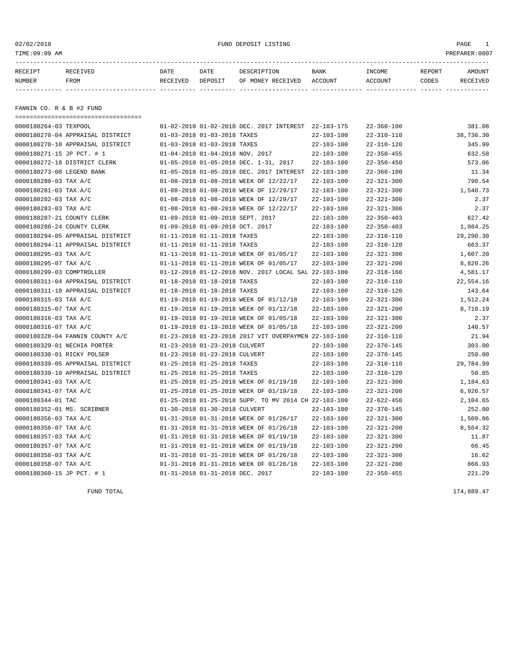02/02/2018 FUND DEPOSIT LISTING PAGE 1

| RECEIPT | <b>RECEIVED</b> | DATE     | DATE    | DESCRIPTION          | <b>BANK</b>    | INCOME  | <b>REPORT</b> | AMOUNT          |
|---------|-----------------|----------|---------|----------------------|----------------|---------|---------------|-----------------|
| NUMBER  | FROM            | RECEIVED | DEPOSIT | RECEIVED<br>OF MONEY | <b>ACCOUNT</b> | ACCOUNT | CODES         | <b>RECEIVED</b> |
|         |                 |          |         |                      |                |         |               |                 |

FANNIN CO. R & B #2 FUND

| ==================================== |                                  |                                                      |                  |                  |           |
|--------------------------------------|----------------------------------|------------------------------------------------------|------------------|------------------|-----------|
| 0000180264-03 TEXPOOL                |                                  | 01-02-2018 01-02-2018 DEC. 2017 INTEREST 22-103-175  |                  | $22 - 360 - 100$ | 381.08    |
| 0000180270-04 APPRAISAL DISTRICT     | 01-03-2018 01-03-2018 TAXES      |                                                      | $22 - 103 - 100$ | $22 - 310 - 110$ | 38,736.30 |
| 0000180270-10 APPRAISAL DISTRICT     | 01-03-2018 01-03-2018 TAXES      |                                                      | $22 - 103 - 100$ | $22 - 310 - 120$ | 345.99    |
| 0000180271-15 JP PCT. # 1            | 01-04-2018 01-04-2018 NOV. 2017  |                                                      | $22 - 103 - 100$ | $22 - 350 - 455$ | 632.58    |
| 0000180272-18 DISTRICT CLERK         |                                  | 01-05-2018 01-05-2018 DEC. 1-31, 2017                | $22 - 103 - 100$ | $22 - 350 - 450$ | 573.06    |
| 0000180273-08 LEGEND BANK            |                                  | 01-05-2018 01-05-2018 DEC. 2017 INTEREST             | 22-103-100       | $22 - 360 - 100$ | 11.34     |
| 0000180280-03 TAX A/C                |                                  | 01-08-2018 01-08-2018 WEEK OF 12/22/17               | $22 - 103 - 100$ | $22 - 321 - 300$ | 790.54    |
| 0000180281-03 TAX A/C                |                                  | 01-08-2018 01-08-2018 WEEK OF 12/29/17               | $22 - 103 - 100$ | $22 - 321 - 300$ | 1,540.73  |
| 0000180282-03 TAX A/C                |                                  | 01-08-2018 01-08-2018 WEEK OF 12/29/17               | $22 - 103 - 100$ | $22 - 321 - 300$ | 2.37      |
| 0000180283-03 TAX A/C                |                                  | 01-08-2018 01-08-2018 WEEK OF 12/22/17               | $22 - 103 - 100$ | $22 - 321 - 300$ | 2.37      |
| 0000180287-21 COUNTY CLERK           | 01-09-2018 01-09-2018 SEPT. 2017 |                                                      | $22 - 103 - 100$ | $22 - 350 - 403$ | 627.42    |
| 0000180288-24 COUNTY CLERK           | 01-09-2018 01-09-2018 OCT. 2017  |                                                      | $22 - 103 - 100$ | $22 - 350 - 403$ | 1,084.25  |
| 0000180294-05 APPRAISAL DISTRICT     | 01-11-2018 01-11-2018 TAXES      |                                                      | $22 - 103 - 100$ | $22 - 310 - 110$ | 29,290.30 |
| 0000180294-11 APPRAISAL DISTRICT     | 01-11-2018 01-11-2018 TAXES      |                                                      | $22 - 103 - 100$ | $22 - 310 - 120$ | 663.37    |
| 0000180295-03 TAX A/C                |                                  | 01-11-2018 01-11-2018 WEEK OF 01/05/17               | $22 - 103 - 100$ | $22 - 321 - 300$ | 1,607.20  |
| 0000180295-07 TAX A/C                |                                  | 01-11-2018 01-11-2018 WEEK OF 01/05/17               | $22 - 103 - 100$ | $22 - 321 - 200$ | 8,820.26  |
| 0000180299-03 COMPTROLLER            |                                  | 01-12-2018 01-12-2018 NOV. 2017 LOCAL SAL 22-103-100 |                  | $22 - 318 - 160$ | 4,581.17  |
| 0000180311-04 APPRAISAL DISTRICT     | 01-18-2018 01-18-2018 TAXES      |                                                      | $22 - 103 - 100$ | $22 - 310 - 110$ | 22,554.16 |
| 0000180311-10 APPRAISAL DISTRICT     | 01-18-2018 01-18-2018 TAXES      |                                                      | $22 - 103 - 100$ | $22 - 310 - 120$ | 143.64    |
| 0000180315-03 TAX A/C                |                                  | 01-19-2018 01-19-2018 WEEK OF 01/12/18               | $22 - 103 - 100$ | $22 - 321 - 300$ | 1,512.24  |
| 0000180315-07 TAX A/C                |                                  | 01-19-2018 01-19-2018 WEEK OF 01/12/18               | $22 - 103 - 100$ | $22 - 321 - 200$ | 8,710.19  |
| 0000180316-03 TAX A/C                |                                  | 01-19-2018 01-19-2018 WEEK OF 01/05/18               | $22 - 103 - 100$ | $22 - 321 - 300$ | 2.37      |
| 0000180316-07 TAX A/C                |                                  | 01-19-2018 01-19-2018 WEEK OF 01/05/18               | $22 - 103 - 100$ | $22 - 321 - 200$ | 140.57    |
| 0000180328-04 FANNIN COUNTY A/C      |                                  | 01-23-2018 01-23-2018 2017 VIT OVERPAYMEN 22-103-100 |                  | $22 - 310 - 110$ | 21.94     |
| 0000180329-01 NECHIA PORTER          | 01-23-2018 01-23-2018 CULVERT    |                                                      | $22 - 103 - 100$ | $22 - 370 - 145$ | 303.00    |
| 0000180330-01 RICKY POLSER           | 01-23-2018 01-23-2018 CULVERT    |                                                      | $22 - 103 - 100$ | $22 - 370 - 145$ | 250.00    |
| 0000180339-05 APPRAISAL DISTRICT     | 01-25-2018 01-25-2018 TAXES      |                                                      | $22 - 103 - 100$ | $22 - 310 - 110$ | 29,784.99 |
| 0000180339-10 APPRAISAL DISTRICT     | 01-25-2018 01-25-2018 TAXES      |                                                      | $22 - 103 - 100$ | $22 - 310 - 120$ | 50.85     |
| 0000180341-03 TAX A/C                |                                  | 01-25-2018 01-25-2018 WEEK OF 01/19/18               | $22 - 103 - 100$ | $22 - 321 - 300$ | 1,184.63  |
| 0000180341-07 TAX A/C                |                                  | 01-25-2018 01-25-2018 WEEK OF 01/19/18               | $22 - 103 - 100$ | $22 - 321 - 200$ | 6,926.57  |
| 0000180344-01 TAC                    |                                  | 01-25-2018 01-25-2018 SUPP. TO MV 2014 CH 22-103-100 |                  | $22 - 622 - 458$ | 2,104.65  |
| 0000180352-01 MS. SCRIBNER           | 01-30-2018 01-30-2018 CULVERT    |                                                      | $22 - 103 - 100$ | $22 - 370 - 145$ | 252.00    |
| 0000180356-03 TAX A/C                |                                  | 01-31-2018 01-31-2018 WEEK OF 01/26/17               | $22 - 103 - 100$ | $22 - 321 - 300$ | 1,509.86  |
| 0000180356-07 TAX A/C                |                                  | 01-31-2018 01-31-2018 WEEK OF 01/26/18               | $22 - 103 - 100$ | $22 - 321 - 200$ | 8,564.32  |
| 0000180357-03 TAX A/C                |                                  | 01-31-2018 01-31-2018 WEEK OF 01/19/18               | $22 - 103 - 100$ | $22 - 321 - 300$ | 11.87     |
| 0000180357-07 TAX A/C                |                                  | 01-31-2018 01-31-2018 WEEK OF 01/19/18               | $22 - 103 - 100$ | $22 - 321 - 200$ | 66.45     |
| 0000180358-03 TAX A/C                |                                  | 01-31-2018 01-31-2018 WEEK OF 01/26/18               | $22 - 103 - 100$ | $22 - 321 - 300$ | 16.62     |
| 0000180358-07 TAX A/C                |                                  | 01-31-2018 01-31-2018 WEEK OF 01/26/18               | $22 - 103 - 100$ | $22 - 321 - 200$ | 866.93    |
| 0000180360-15 JP PCT. # 1            | 01-31-2018 01-31-2018 DEC. 2017  |                                                      | $22 - 103 - 100$ | $22 - 350 - 455$ | 221.29    |

FUND TOTAL 174,889.47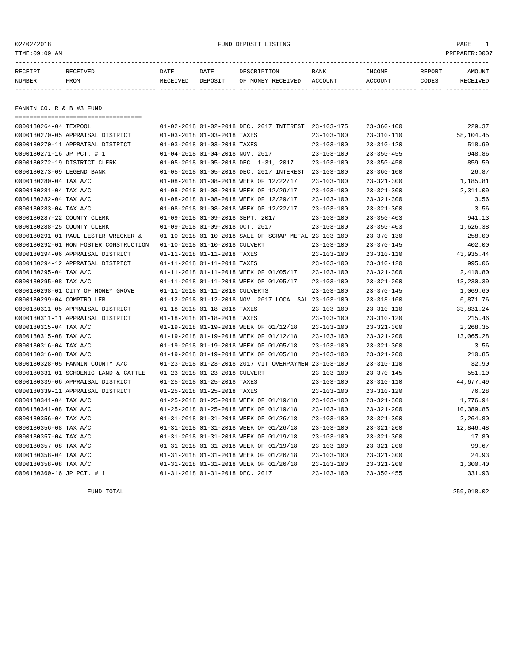# 02/02/2018 FUND DEPOSIT LISTING PAGE 1

| RECEIPT | <b>RECEIVED</b> | DATE     | DATE    | DESCRIPTION          | <b>BANK</b>    | INCOME  | <b>REPORT</b> | AMOUNT          |
|---------|-----------------|----------|---------|----------------------|----------------|---------|---------------|-----------------|
| NUMBER  | FROM            | RECEIVED | DEPOSIT | RECEIVED<br>OF MONEY | <b>ACCOUNT</b> | ACCOUNT | CODES         | <b>RECEIVED</b> |
|         |                 |          |         |                      |                |         |               |                 |

FANNIN CO. R & B #3 FUND

| ====================================  |                                        |                                                      |                  |                  |           |
|---------------------------------------|----------------------------------------|------------------------------------------------------|------------------|------------------|-----------|
| 0000180264-04 TEXPOOL                 |                                        | 01-02-2018 01-02-2018 DEC. 2017 INTEREST 23-103-175  |                  | $23 - 360 - 100$ | 229.37    |
| 0000180270-05 APPRAISAL DISTRICT      | 01-03-2018 01-03-2018 TAXES            |                                                      | $23 - 103 - 100$ | $23 - 310 - 110$ | 58,104.45 |
| 0000180270-11 APPRAISAL DISTRICT      | 01-03-2018 01-03-2018 TAXES            |                                                      | $23 - 103 - 100$ | $23 - 310 - 120$ | 518.99    |
| 0000180271-16 JP PCT. # 1             | 01-04-2018 01-04-2018 NOV. 2017        |                                                      | $23 - 103 - 100$ | $23 - 350 - 455$ | 948.86    |
| 0000180272-19 DISTRICT CLERK          | 01-05-2018 01-05-2018 DEC. 1-31, 2017  |                                                      | $23 - 103 - 100$ | $23 - 350 - 450$ | 859.59    |
| 0000180273-09 LEGEND BANK             |                                        | 01-05-2018 01-05-2018 DEC. 2017 INTEREST             | $23 - 103 - 100$ | $23 - 360 - 100$ | 26.87     |
| 0000180280-04 TAX A/C                 |                                        | 01-08-2018 01-08-2018 WEEK OF 12/22/17               | $23 - 103 - 100$ | $23 - 321 - 300$ | 1,185.81  |
| 0000180281-04 TAX A/C                 |                                        | 01-08-2018 01-08-2018 WEEK OF 12/29/17               | $23 - 103 - 100$ | $23 - 321 - 300$ | 2,311.09  |
| 0000180282-04 TAX A/C                 |                                        | 01-08-2018 01-08-2018 WEEK OF 12/29/17               | $23 - 103 - 100$ | $23 - 321 - 300$ | 3.56      |
| 0000180283-04 TAX A/C                 |                                        | 01-08-2018 01-08-2018 WEEK OF 12/22/17               | $23 - 103 - 100$ | $23 - 321 - 300$ | 3.56      |
| 0000180287-22 COUNTY CLERK            | 01-09-2018 01-09-2018 SEPT. 2017       |                                                      | $23 - 103 - 100$ | $23 - 350 - 403$ | 941.13    |
| 0000180288-25 COUNTY CLERK            | 01-09-2018 01-09-2018 OCT. 2017        |                                                      | $23 - 103 - 100$ | $23 - 350 - 403$ | 1,626.38  |
| 0000180291-01 PAUL LESTER WRECKER &   |                                        | 01-10-2018 01-10-2018 SALE OF SCRAP METAL 23-103-100 |                  | $23 - 370 - 130$ | 258.00    |
| 0000180292-01 RON FOSTER CONSTRUCTION | 01-10-2018 01-10-2018 CULVERT          |                                                      | $23 - 103 - 100$ | $23 - 370 - 145$ | 402.00    |
| 0000180294-06 APPRAISAL DISTRICT      | 01-11-2018 01-11-2018 TAXES            |                                                      | $23 - 103 - 100$ | $23 - 310 - 110$ | 43,935.44 |
| 0000180294-12 APPRAISAL DISTRICT      | 01-11-2018 01-11-2018 TAXES            |                                                      | $23 - 103 - 100$ | $23 - 310 - 120$ | 995.06    |
| 0000180295-04 TAX A/C                 |                                        | 01-11-2018 01-11-2018 WEEK OF 01/05/17               | $23 - 103 - 100$ | $23 - 321 - 300$ | 2,410.80  |
| 0000180295-08 TAX A/C                 | 01-11-2018 01-11-2018 WEEK OF 01/05/17 |                                                      | $23 - 103 - 100$ | $23 - 321 - 200$ | 13,230.39 |
| 0000180298-01 CITY OF HONEY GROVE     | 01-11-2018 01-11-2018 CULVERTS         |                                                      | $23 - 103 - 100$ | $23 - 370 - 145$ | 1,069.60  |
| 0000180299-04 COMPTROLLER             |                                        | 01-12-2018 01-12-2018 NOV. 2017 LOCAL SAL 23-103-100 |                  | $23 - 318 - 160$ | 6,871.76  |
| 0000180311-05 APPRAISAL DISTRICT      | 01-18-2018 01-18-2018 TAXES            |                                                      | $23 - 103 - 100$ | $23 - 310 - 110$ | 33,831.24 |
| 0000180311-11 APPRAISAL DISTRICT      | 01-18-2018 01-18-2018 TAXES            |                                                      | $23 - 103 - 100$ | $23 - 310 - 120$ | 215.46    |
| 0000180315-04 TAX A/C                 | 01-19-2018 01-19-2018 WEEK OF 01/12/18 |                                                      | $23 - 103 - 100$ | $23 - 321 - 300$ | 2,268.35  |
| 0000180315-08 TAX A/C                 |                                        | 01-19-2018 01-19-2018 WEEK OF 01/12/18               | $23 - 103 - 100$ | $23 - 321 - 200$ | 13,065.28 |
| 0000180316-04 TAX A/C                 | 01-19-2018 01-19-2018 WEEK OF 01/05/18 |                                                      | $23 - 103 - 100$ | $23 - 321 - 300$ | 3.56      |
| 0000180316-08 TAX A/C                 | 01-19-2018 01-19-2018 WEEK OF 01/05/18 |                                                      | $23 - 103 - 100$ | $23 - 321 - 200$ | 210.85    |
| 0000180328-05 FANNIN COUNTY A/C       |                                        | 01-23-2018 01-23-2018 2017 VIT OVERPAYMEN 23-103-100 |                  | $23 - 310 - 110$ | 32.90     |
| 0000180331-01 SCHOENIG LAND & CATTLE  | 01-23-2018 01-23-2018 CULVERT          |                                                      | $23 - 103 - 100$ | $23 - 370 - 145$ | 551.10    |
| 0000180339-06 APPRAISAL DISTRICT      | 01-25-2018 01-25-2018 TAXES            |                                                      | $23 - 103 - 100$ | $23 - 310 - 110$ | 44,677.49 |
| 0000180339-11 APPRAISAL DISTRICT      | 01-25-2018 01-25-2018 TAXES            |                                                      | $23 - 103 - 100$ | $23 - 310 - 120$ | 76.28     |
| 0000180341-04 TAX A/C                 | 01-25-2018 01-25-2018 WEEK OF 01/19/18 |                                                      | $23 - 103 - 100$ | $23 - 321 - 300$ | 1,776.94  |
| 0000180341-08 TAX A/C                 |                                        | 01-25-2018 01-25-2018 WEEK OF 01/19/18               | $23 - 103 - 100$ | $23 - 321 - 200$ | 10,389.85 |
| 0000180356-04 TAX A/C                 | 01-31-2018 01-31-2018 WEEK OF 01/26/18 |                                                      | $23 - 103 - 100$ | $23 - 321 - 300$ | 2,264.80  |
| 0000180356-08 TAX A/C                 | 01-31-2018 01-31-2018 WEEK OF 01/26/18 |                                                      | $23 - 103 - 100$ | $23 - 321 - 200$ | 12,846.48 |
| 0000180357-04 TAX A/C                 | 01-31-2018 01-31-2018 WEEK OF 01/19/18 |                                                      | $23 - 103 - 100$ | $23 - 321 - 300$ | 17.80     |
| 0000180357-08 TAX A/C                 | 01-31-2018 01-31-2018 WEEK OF 01/19/18 |                                                      | $23 - 103 - 100$ | $23 - 321 - 200$ | 99.67     |
| 0000180358-04 TAX A/C                 | 01-31-2018 01-31-2018 WEEK OF 01/26/18 |                                                      | $23 - 103 - 100$ | $23 - 321 - 300$ | 24.93     |
| 0000180358-08 TAX A/C                 | 01-31-2018 01-31-2018 WEEK OF 01/26/18 |                                                      | $23 - 103 - 100$ | $23 - 321 - 200$ | 1,300.40  |
| 0000180360-16 JP PCT. # 1             | 01-31-2018 01-31-2018 DEC. 2017        |                                                      | $23 - 103 - 100$ | $23 - 350 - 455$ | 331.93    |

FUND TOTAL 259,918.02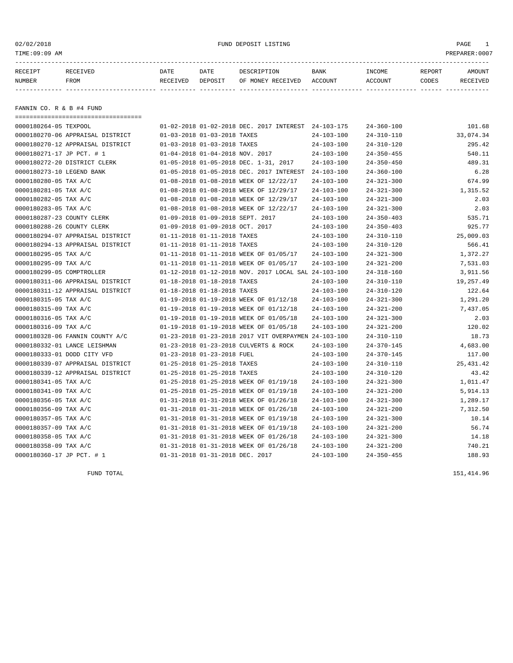# 02/02/2018 FUND DEPOSIT LISTING PAGE 1

| RECEIPT | <b>RECEIVED</b> | DATE     | DATE    | DESCRIPTION          | <b>BANK</b>    | INCOME  | <b>REPORT</b> | AMOUNT          |
|---------|-----------------|----------|---------|----------------------|----------------|---------|---------------|-----------------|
| NUMBER  | FROM            | RECEIVED | DEPOSIT | RECEIVED<br>OF MONEY | <b>ACCOUNT</b> | ACCOUNT | CODES         | <b>RECEIVED</b> |
|         |                 |          |         |                      |                |         |               |                 |

FANNIN CO. R & B #4 FUND

| ==================================== |                                                      |                  |                  |            |
|--------------------------------------|------------------------------------------------------|------------------|------------------|------------|
| 0000180264-05 TEXPOOL                | 01-02-2018 01-02-2018 DEC. 2017 INTEREST 24-103-175  |                  | $24 - 360 - 100$ | 101.68     |
| 0000180270-06 APPRAISAL DISTRICT     | 01-03-2018 01-03-2018 TAXES                          | $24 - 103 - 100$ | $24 - 310 - 110$ | 33,074.34  |
| 0000180270-12 APPRAISAL DISTRICT     | 01-03-2018 01-03-2018 TAXES                          | $24 - 103 - 100$ | $24 - 310 - 120$ | 295.42     |
| 0000180271-17 JP PCT. # 1            | 01-04-2018 01-04-2018 NOV. 2017                      | $24 - 103 - 100$ | $24 - 350 - 455$ | 540.11     |
| 0000180272-20 DISTRICT CLERK         | 01-05-2018 01-05-2018 DEC. 1-31, 2017                | $24 - 103 - 100$ | $24 - 350 - 450$ | 489.31     |
| 0000180273-10 LEGEND BANK            | 01-05-2018 01-05-2018 DEC. 2017 INTEREST             | $24 - 103 - 100$ | $24 - 360 - 100$ | 6.28       |
| 0000180280-05 TAX A/C                | 01-08-2018 01-08-2018 WEEK OF 12/22/17               | $24 - 103 - 100$ | $24 - 321 - 300$ | 674.99     |
| 0000180281-05 TAX A/C                | 01-08-2018 01-08-2018 WEEK OF 12/29/17               | $24 - 103 - 100$ | $24 - 321 - 300$ | 1,315.52   |
| 0000180282-05 TAX A/C                | 01-08-2018 01-08-2018 WEEK OF 12/29/17               | $24 - 103 - 100$ | $24 - 321 - 300$ | 2.03       |
| 0000180283-05 TAX A/C                | 01-08-2018 01-08-2018 WEEK OF 12/22/17               | $24 - 103 - 100$ | $24 - 321 - 300$ | 2.03       |
| 0000180287-23 COUNTY CLERK           | 01-09-2018 01-09-2018 SEPT. 2017                     | $24 - 103 - 100$ | $24 - 350 - 403$ | 535.71     |
| 0000180288-26 COUNTY CLERK           | 01-09-2018 01-09-2018 OCT. 2017                      | $24 - 103 - 100$ | $24 - 350 - 403$ | 925.77     |
| 0000180294-07 APPRAISAL DISTRICT     | 01-11-2018 01-11-2018 TAXES                          | $24 - 103 - 100$ | $24 - 310 - 110$ | 25,009.03  |
| 0000180294-13 APPRAISAL DISTRICT     | 01-11-2018 01-11-2018 TAXES                          | $24 - 103 - 100$ | $24 - 310 - 120$ | 566.41     |
| 0000180295-05 TAX A/C                | 01-11-2018 01-11-2018 WEEK OF 01/05/17               | $24 - 103 - 100$ | $24 - 321 - 300$ | 1,372.27   |
| 0000180295-09 TAX A/C                | 01-11-2018 01-11-2018 WEEK OF 01/05/17               | $24 - 103 - 100$ | $24 - 321 - 200$ | 7,531.03   |
| 0000180299-05 COMPTROLLER            | 01-12-2018 01-12-2018 NOV. 2017 LOCAL SAL 24-103-100 |                  | $24 - 318 - 160$ | 3,911.56   |
| 0000180311-06 APPRAISAL DISTRICT     | 01-18-2018 01-18-2018 TAXES                          | $24 - 103 - 100$ | $24 - 310 - 110$ | 19,257.49  |
| 0000180311-12 APPRAISAL DISTRICT     | 01-18-2018 01-18-2018 TAXES                          | $24 - 103 - 100$ | $24 - 310 - 120$ | 122.64     |
| 0000180315-05 TAX A/C                | 01-19-2018 01-19-2018 WEEK OF 01/12/18               | $24 - 103 - 100$ | $24 - 321 - 300$ | 1,291.20   |
| 0000180315-09 TAX A/C                | 01-19-2018 01-19-2018 WEEK OF 01/12/18               | $24 - 103 - 100$ | $24 - 321 - 200$ | 7,437.05   |
| 0000180316-05 TAX A/C                | 01-19-2018 01-19-2018 WEEK OF 01/05/18               | $24 - 103 - 100$ | $24 - 321 - 300$ | 2.03       |
| 0000180316-09 TAX A/C                | 01-19-2018 01-19-2018 WEEK OF 01/05/18               | $24 - 103 - 100$ | $24 - 321 - 200$ | 120.02     |
| 0000180328-06 FANNIN COUNTY A/C      | 01-23-2018 01-23-2018 2017 VIT OVERPAYMEN 24-103-100 |                  | $24 - 310 - 110$ | 18.73      |
| 0000180332-01 LANCE LEISHMAN         | 01-23-2018 01-23-2018 CULVERTS & ROCK                | $24 - 103 - 100$ | $24 - 370 - 145$ | 4,683.00   |
| 0000180333-01 DODD CITY VFD          | 01-23-2018 01-23-2018 FUEL                           | $24 - 103 - 100$ | $24 - 370 - 145$ | 117.00     |
| 0000180339-07 APPRAISAL DISTRICT     | 01-25-2018 01-25-2018 TAXES                          | $24 - 103 - 100$ | $24 - 310 - 110$ | 25, 431.42 |
| 0000180339-12 APPRAISAL DISTRICT     | 01-25-2018 01-25-2018 TAXES                          | $24 - 103 - 100$ | $24 - 310 - 120$ | 43.42      |
| 0000180341-05 TAX A/C                | 01-25-2018 01-25-2018 WEEK OF 01/19/18               | $24 - 103 - 100$ | $24 - 321 - 300$ | 1,011.47   |
| 0000180341-09 TAX A/C                | 01-25-2018 01-25-2018 WEEK OF 01/19/18               | $24 - 103 - 100$ | $24 - 321 - 200$ | 5,914.13   |
| 0000180356-05 TAX A/C                | 01-31-2018 01-31-2018 WEEK OF 01/26/18               | $24 - 103 - 100$ | $24 - 321 - 300$ | 1,289.17   |
| 0000180356-09 TAX A/C                | 01-31-2018 01-31-2018 WEEK OF 01/26/18               | $24 - 103 - 100$ | $24 - 321 - 200$ | 7,312.50   |
| 0000180357-05 TAX A/C                | 01-31-2018 01-31-2018 WEEK OF 01/19/18               | $24 - 103 - 100$ | $24 - 321 - 300$ | 10.14      |
| 0000180357-09 TAX A/C                | 01-31-2018 01-31-2018 WEEK OF 01/19/18               | $24 - 103 - 100$ | $24 - 321 - 200$ | 56.74      |
| 0000180358-05 TAX A/C                | 01-31-2018 01-31-2018 WEEK OF 01/26/18               | $24 - 103 - 100$ | $24 - 321 - 300$ | 14.18      |
| 0000180358-09 TAX A/C                | 01-31-2018 01-31-2018 WEEK OF 01/26/18               | $24 - 103 - 100$ | $24 - 321 - 200$ | 740.21     |
| 0000180360-17 JP PCT. # 1            | 01-31-2018 01-31-2018 DEC. 2017                      | $24 - 103 - 100$ | $24 - 350 - 455$ | 188.93     |

FUND TOTAL 151,414.96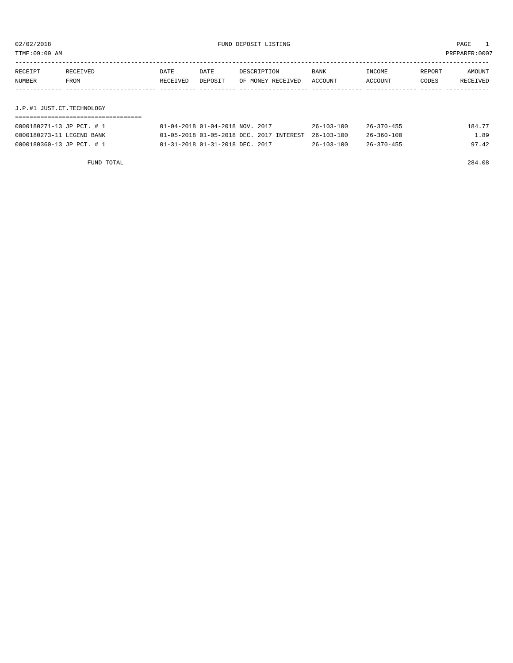TIME:09:09 AM PREPARER:0007

| RECEIPT                   | RECEIVED | DATE     | DATE    | DESCRIPTION       | <b>BANK</b> | INCOME  | REPORT | AMOUNT   |
|---------------------------|----------|----------|---------|-------------------|-------------|---------|--------|----------|
| NUMBER                    | FROM     | RECEIVED | DEPOSIT | OF MONEY RECEIVED | ACCOUNT     | ACCOUNT | CODES  | RECEIVED |
|                           |          |          |         |                   |             |         |        |          |
|                           |          |          |         |                   |             |         |        |          |
| J.P.#1 JUST.CT.TECHNOLOGY |          |          |         |                   |             |         |        |          |
|                           |          |          |         |                   |             |         |        |          |

| 0000180271-13 JP PCT. # 1 | 01-04-2018 01-04-2018 NOV. 2017                     | $26 - 103 - 100$ | $26 - 370 - 455$ | 184.77 |
|---------------------------|-----------------------------------------------------|------------------|------------------|--------|
| 0000180273-11 LEGEND BANK | 01-05-2018 01-05-2018 DEC. 2017 INTEREST 26-103-100 |                  | $26 - 360 - 100$ | 1.89   |
| 0000180360-13 JP PCT. # 1 | 01-31-2018 01-31-2018 DEC. 2017                     | $26 - 103 - 100$ | $26 - 370 - 455$ | 97.42  |

FUND TOTAL 284.08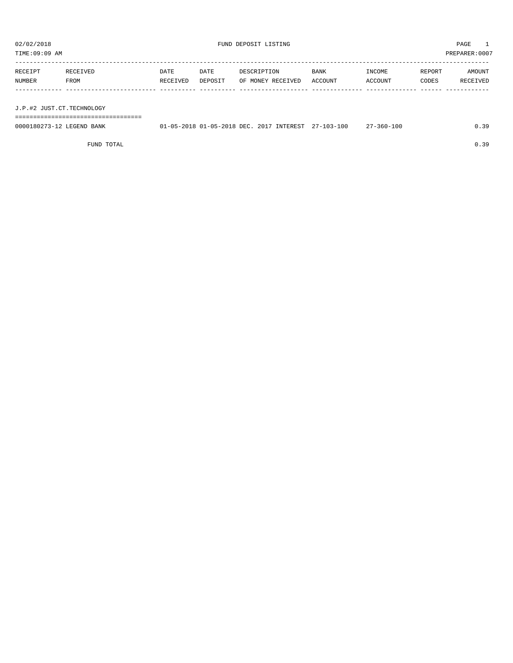TIME:09:09 AM PREPARER:0007

| RECEIVED | DATE     | DATE | DESCRIPTION | BANK              | INCOME  | REPORT | AMOUNT   |
|----------|----------|------|-------------|-------------------|---------|--------|----------|
| FROM     | RECEIVED |      |             |                   | ACCOUNT | CODES  | RECEIVED |
|          |          |      |             |                   |         |        |          |
|          |          |      |             |                   |         |        |          |
|          |          |      | DEPOSIT     | OF MONEY RECEIVED | ACCOUNT |        |          |

J.P.#2 JUST.CT.TECHNOLOGY

===================================

| 0000180273-12<br>LEGEND BANK | .1-05-2018 01-05-2018 DEC. | 2017<br>INTEREST | 27-103-100 | 7-360-100 | 20 |
|------------------------------|----------------------------|------------------|------------|-----------|----|
|                              |                            |                  |            |           |    |

FUND TOTAL 0.39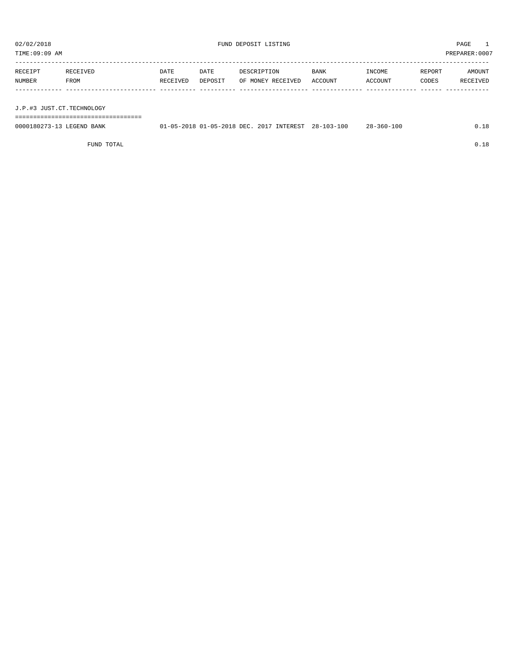TIME:09:09 AM PREPARER:0007

| RECEIPT | RECEIVED | DATE     | DATE    | DESCRIPTION       | BANK    | INCOME  | REPORT | AMOUNT   |
|---------|----------|----------|---------|-------------------|---------|---------|--------|----------|
| NUMBER  | FROM     | RECEIVED | DEPOSIT | OF MONEY RECEIVED | ACCOUNT | ACCOUNT | CODES  | RECEIVED |
|         |          |          |         |                   |         |         |        |          |
|         |          |          |         |                   |         |         |        |          |

J.P.#3 JUST.CT.TECHNOLOGY

===================================

| 0000180273-13 LEGEND BANK | 01-05-2018 01-05-2018 DEC, 2017 INTEREST 28-103-100 |  | $28 - 360 - 100$ |  |
|---------------------------|-----------------------------------------------------|--|------------------|--|
|                           |                                                     |  |                  |  |

FUND TOTAL  $0.18$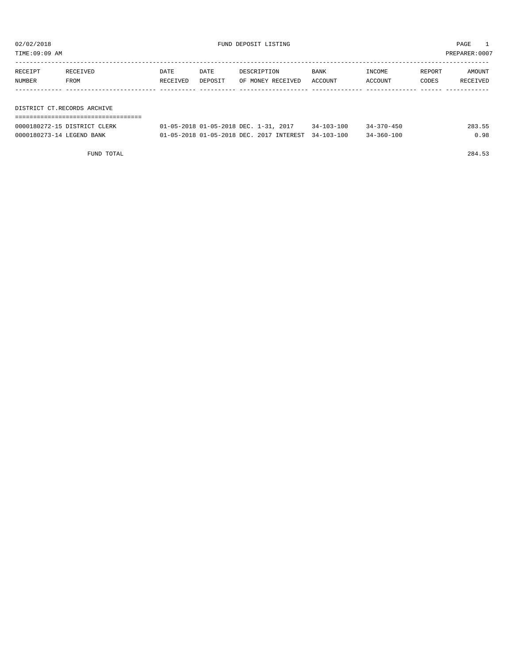| TIME:09:09 AM |                             |          |         |                                                                   |             |            |        | PREPARER:0007 |
|---------------|-----------------------------|----------|---------|-------------------------------------------------------------------|-------------|------------|--------|---------------|
| RECEIPT       | RECEIVED                    | DATE     | DATE    | DESCRIPTION                                                       | <b>BANK</b> | INCOME     | REPORT | AMOUNT        |
| NUMBER        | FROM                        | RECEIVED | DEPOSIT | OF MONEY RECEIVED                                                 | ACCOUNT     | ACCOUNT    | CODES  | RECEIVED      |
|               |                             |          |         |                                                                   |             |            |        |               |
|               | DISTRICT CT.RECORDS ARCHIVE |          |         |                                                                   |             |            |        |               |
|               |                             |          |         |                                                                   |             |            |        |               |
|               |                             |          |         | $0.1$ $0.5$ $0.10$ $0.1$ $0.5$ $0.10$ $0.70$ $0.70$ $0.10$ $0.10$ | 21.32330    | 21.252.152 |        | 0.02.77       |

| 0000180272-15 DISTRICT CLERK | 2017<br>$01 - 05 - 2018$ $01 - 05 - 2018$ DEC.<br>1 – 31 | $-103 - 100$<br>$34 -$ | $-370 - 450$     | 283.55 |
|------------------------------|----------------------------------------------------------|------------------------|------------------|--------|
| 0000180273-14 LEGEND BANK    | 2017 INTEREST<br>$01 - 05 - 2018$ $01 - 05 - 2018$ DEC.  | $34 - 103 - 100$       | $34 - 360 - 100$ | J.98   |

FUND TOTAL 284.53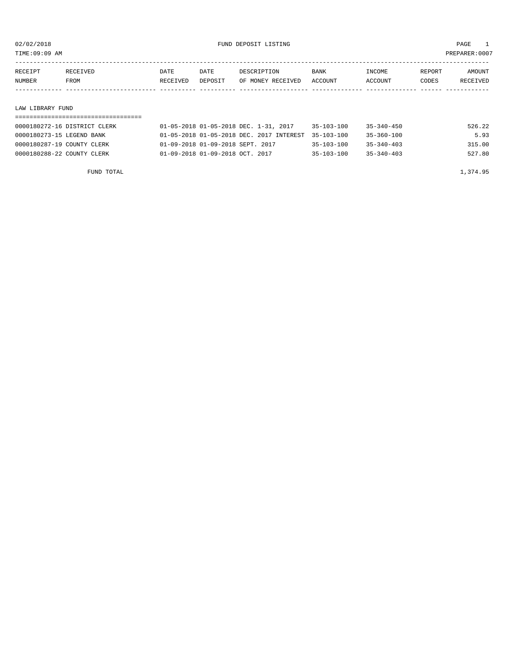TIME:09:09 AM PREPARER:0007

| RECEIPT               | RECEIVED | DATE     | DATE    | DESCRIPTION       | <b>BANK</b> | INCOME  | REPORT | AMOUNT          |
|-----------------------|----------|----------|---------|-------------------|-------------|---------|--------|-----------------|
| NUMBER<br><b>FROM</b> |          | RECEIVED | DEPOSIT | OF MONEY RECEIVED | ACCOUNT     | ACCOUNT | CODES  | <b>RECEIVED</b> |
|                       |          |          |         |                   |             |         |        |                 |

#### LAW LIBRARY FUND

# =================================== 0000180272-16 DISTRICT CLERK 01-05-2018 01-05-2018 DEC. 1-31, 2017 35-103-100 35-340-450 526.22

|                            | <u>vi vu bvid vi vu bvid bbul i ull bvil</u>        | ----------       | --------         | ------ |
|----------------------------|-----------------------------------------------------|------------------|------------------|--------|
| 0000180273-15 LEGEND BANK  | 01-05-2018 01-05-2018 DEC. 2017 INTEREST 35-103-100 |                  | 35-360-100       | 5.93   |
| 0000180287-19 COUNTY CLERK | 01-09-2018 01-09-2018 SEPT. 2017                    | $35 - 103 - 100$ | $35 - 340 - 403$ | 315.00 |
| 0000180288-22 COUNTY CLERK | 01-09-2018 01-09-2018 OCT. 2017                     | $35 - 103 - 100$ | $35 - 340 - 403$ | 527.80 |
|                            |                                                     |                  |                  |        |

FUND TOTAL 1,374.95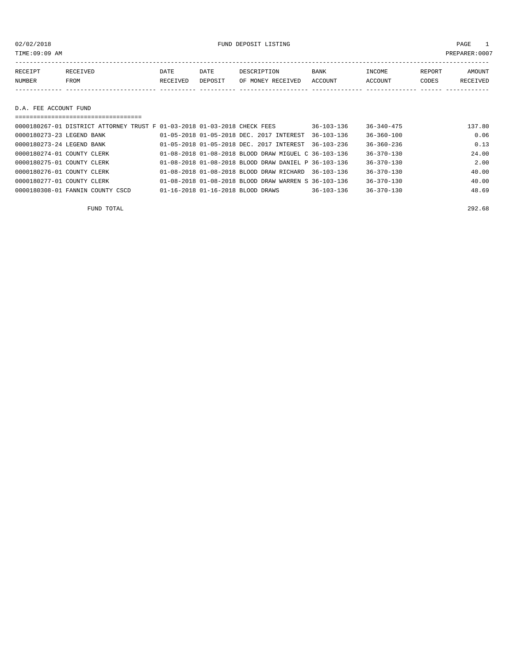02/02/2018 FUND DEPOSIT LISTING PAGE 1

| RECEIPT | <b>RECEIVED</b> | DATE     | DATE    | DESCRIPTION       | <b>BANK</b> | INCOME  | <b>REPORT</b> | AMOUNT          |
|---------|-----------------|----------|---------|-------------------|-------------|---------|---------------|-----------------|
| NUMBER  | <b>FROM</b>     | RECEIVED | DEPOSIT | OF MONEY RECEIVED | ACCOUNT     | ACCOUNT | CODES         | <b>RECEIVED</b> |
|         |                 |          |         |                   |             |         |               |                 |

D.A. FEE ACCOUNT FUND

| ===================================                                      |                                                            |                  |                  |        |
|--------------------------------------------------------------------------|------------------------------------------------------------|------------------|------------------|--------|
| 0000180267-01 DISTRICT ATTORNEY TRUST F 01-03-2018 01-03-2018 CHECK FEES |                                                            | $36 - 103 - 136$ | $36 - 340 - 475$ | 137.80 |
| 0000180273-23 LEGEND BANK                                                | 01-05-2018 01-05-2018 DEC. 2017 INTEREST                   | $36 - 103 - 136$ | $36 - 360 - 100$ | 0.06   |
| 0000180273-24 LEGEND BANK                                                | $01 - 05 - 2018$ $01 - 05 - 2018$ DEC, $2017$ INTEREST     | $36 - 103 - 236$ | $36 - 360 - 236$ | 0.13   |
| 0000180274-01 COUNTY CLERK                                               | 01-08-2018 01-08-2018 BLOOD DRAW MIGUEL C 36-103-136       |                  | $36 - 370 - 130$ | 24.00  |
| 0000180275-01 COUNTY CLERK                                               | $01-08-2018$ $01-08-2018$ BLOOD DRAW DANIEL P $36-103-136$ |                  | $36 - 370 - 130$ | 2.00   |
| 0000180276-01 COUNTY CLERK                                               | 01-08-2018 01-08-2018 BLOOD DRAW RICHARD 36-103-136        |                  | $36 - 370 - 130$ | 40.00  |
| 0000180277-01 COUNTY CLERK                                               | 01-08-2018 01-08-2018 BLOOD DRAW WARREN S 36-103-136       |                  | $36 - 370 - 130$ | 40.00  |
| 0000180308-01 FANNIN COUNTY CSCD                                         | 01-16-2018 01-16-2018 BLOOD DRAWS                          | $36 - 103 - 136$ | $36 - 370 - 130$ | 48.69  |

FUND TOTAL 292.68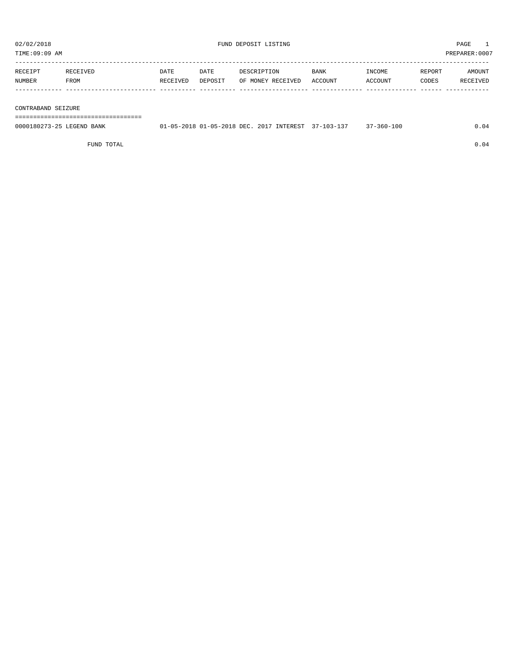| TIME:09:09 AM<br>PREPARER: 0007 |             |          |         |                   |             |         |        |          |
|---------------------------------|-------------|----------|---------|-------------------|-------------|---------|--------|----------|
| RECEIPT                         | RECEIVED    | DATE     | DATE    | DESCRIPTION       | <b>BANK</b> | INCOME  | REPORT | AMOUNT   |
| NUMBER                          | <b>FROM</b> | RECEIVED | DEPOSIT | OF MONEY RECEIVED | ACCOUNT     | ACCOUNT | CODES  | RECEIVED |
|                                 |             |          |         |                   |             |         |        |          |

#### CONTRABAND SEIZURE

===================================

| 0000180273-25 LEGEND BANK | 01-05-2018 01-05-2018 DEC. 2017 INTEREST | $. 37 - 103 - 127$ | 17-360-100 |  |
|---------------------------|------------------------------------------|--------------------|------------|--|
|                           |                                          |                    |            |  |

FUND TOTAL  $0.04$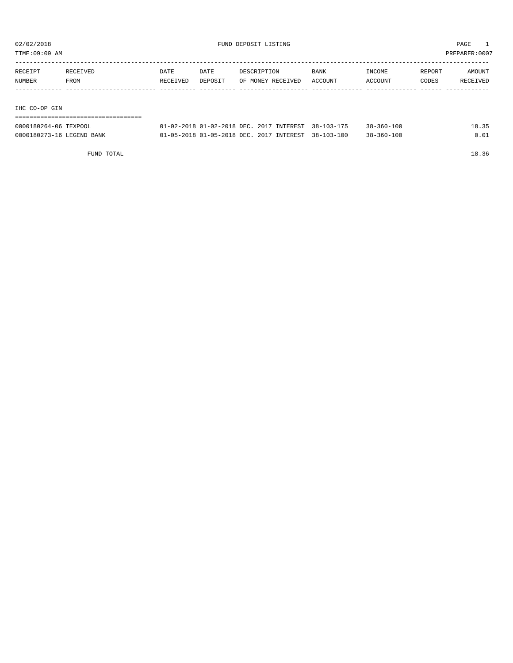TIME:09:09 AM PREPARER:0007

| RECEIPT       | RECEIVED | DATE     | DATE    | DESCRIPTION       | <b>BANK</b> | INCOME         | REPORT | AMOUNT   |
|---------------|----------|----------|---------|-------------------|-------------|----------------|--------|----------|
| NUMBER        | FROM     | RECEIVED | DEPOSIT | OF MONEY RECEIVED | ACCOUNT     | <b>ACCOUNT</b> | CODES  | RECEIVED |
|               |          |          |         |                   |             |                |        |          |
|               |          |          |         |                   |             |                |        |          |
| IHC CO-OP GIN |          |          |         |                   |             |                |        |          |

| ----------------------    |                                                     |                           |
|---------------------------|-----------------------------------------------------|---------------------------|
| 0000180264-06 TEXPOOL     | 01-02-2018 01-02-2018 DEC. 2017 INTEREST 38-103-175 | 18.35<br>$38 - 360 - 100$ |
| 0000180273-16 LEGEND BANK | 01-05-2018 01-05-2018 DEC. 2017 INTEREST 38-103-100 | $38 - 360 - 100$<br>0.01  |

FUND TOTAL 18.36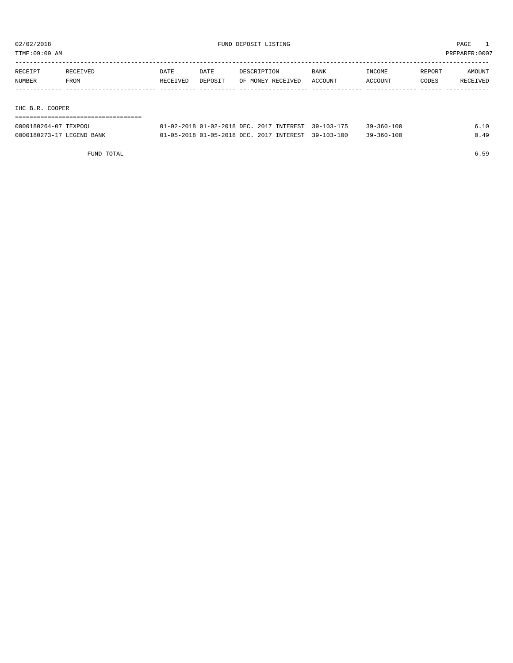TIME:09:09 AM PREPARER:0007

| RECEIVED | DATE     | DATE    | DESCRIPTION | <b>BANK</b>       | INCOME  | REPORT | AMOUNT   |
|----------|----------|---------|-------------|-------------------|---------|--------|----------|
| FROM     | RECEIVED | DEPOSIT |             |                   | ACCOUNT | CODES  | RECEIVED |
|          |          |         |             |                   |         |        |          |
|          |          |         |             |                   |         |        |          |
|          |          |         |             | OF MONEY RECEIVED | ACCOUNT |        |          |

IHC B.R. COOPER

| 0000180264-07 TEXPOOL     | 01-02-2018 01-02-2018 DEC. 2017 INTEREST 39-103-175         |  | 39-360-100       | 6.10 |
|---------------------------|-------------------------------------------------------------|--|------------------|------|
| 0000180273-17 LEGEND BANK | $01-05-2018$ $01-05-2018$ DEC, $2017$ INTEREST $39-103-100$ |  | $39 - 360 - 100$ | 0.49 |

FUND TOTAL 6.59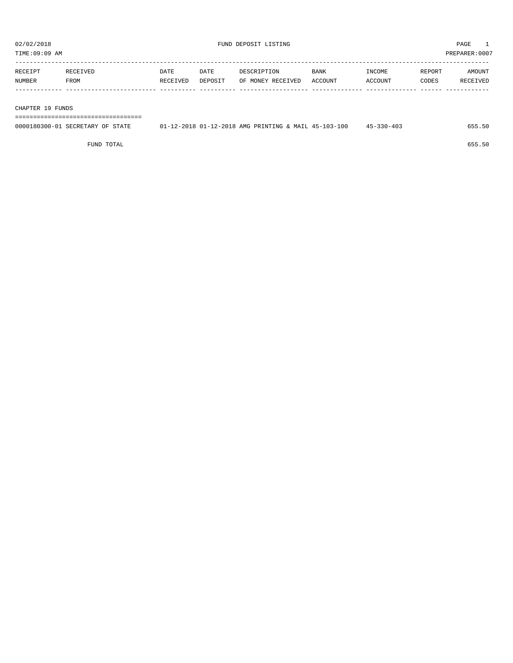| TIME:09:09 AM     |                  |                  |                 |                                  |                        |                   |                 | PREPARER: 0007     |
|-------------------|------------------|------------------|-----------------|----------------------------------|------------------------|-------------------|-----------------|--------------------|
| RECEIPT<br>NUMBER | RECEIVED<br>FROM | DATE<br>RECEIVED | DATE<br>DEPOSIT | DESCRIPTION<br>OF MONEY RECEIVED | <b>BANK</b><br>ACCOUNT | INCOME<br>ACCOUNT | REPORT<br>CODES | AMOUNT<br>RECEIVED |
|                   |                  |                  |                 |                                  |                        |                   |                 |                    |

CHAPTER 19 FUNDS

===================================

| 0000180300-01 SECRETARY OF STATE | 01-12-2018 01-12-2018 AMG PRINTING & MAIL 45-103-100 | $45 - 330 - 403$ |  |
|----------------------------------|------------------------------------------------------|------------------|--|
|                                  |                                                      |                  |  |
|                                  |                                                      |                  |  |

FUND TOTAL 655.50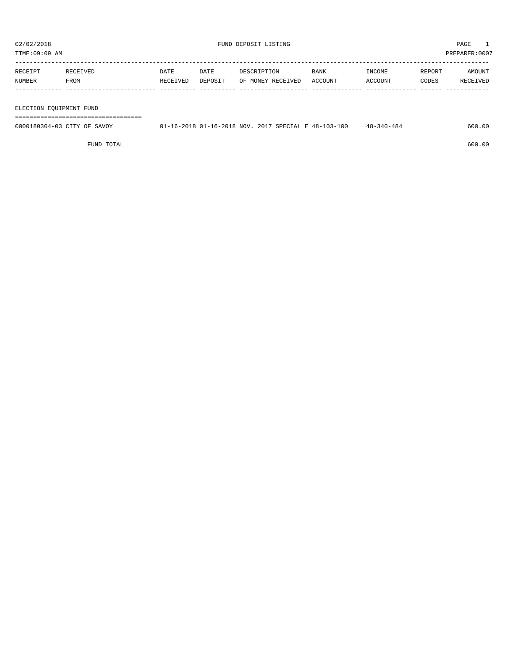TIME:09:09 AM PREPARER:0007

| RECEIPT | RECEIVED | DATE     | DATE    | DESCRIPTION       | <b>BANK</b> | <b>TNCOME</b>  | <b>REPORT</b> | AMOUNT   |
|---------|----------|----------|---------|-------------------|-------------|----------------|---------------|----------|
| NUMBER  | FROM     | RECEIVED | DEPOSIT | OF MONEY RECEIVED | ACCOUNT     | <b>ACCOUNT</b> | CODES         | RECEIVED |
|         |          |          |         |                   |             |                |               |          |

#### ELECTION EQUIPMENT FUND

===================================

| 0000180304-03 CITY OF SAVOY | 01-16-2018 01-16-2018 NOV. 2017 SPECIAL E 48-103-100 | $48 - 340 - 484$ | 600.00 |
|-----------------------------|------------------------------------------------------|------------------|--------|
|                             |                                                      |                  |        |

FUND TOTAL 600.00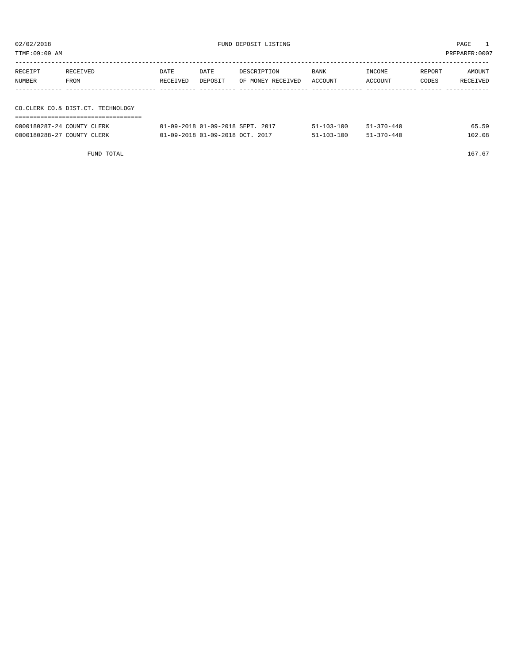| TIME:09:09 AM |                                   |          |         |                   |         |         |        | PREPARER:0007 |
|---------------|-----------------------------------|----------|---------|-------------------|---------|---------|--------|---------------|
|               |                                   |          |         |                   |         |         |        |               |
| RECEIPT       | RECEIVED                          | DATE     | DATE    | DESCRIPTION       | BANK    | INCOME  | REPORT | AMOUNT        |
| NUMBER        | FROM                              | RECEIVED | DEPOSIT | OF MONEY RECEIVED | ACCOUNT | ACCOUNT | CODES  | RECEIVED      |
|               |                                   |          |         |                   |         |         |        |               |
|               |                                   |          |         |                   |         |         |        |               |
|               | CO.CLERK CO.& DIST.CT. TECHNOLOGY |          |         |                   |         |         |        |               |
|               |                                   |          |         |                   |         |         |        |               |

| 0000180287-24 COUNTY CLERK | 01-09-2018 01-09-2018 SEPT. 2017 | $51 - 103 - 100$ | $51 - 370 - 440$ | 65.59  |
|----------------------------|----------------------------------|------------------|------------------|--------|
| 0000180288-27 COUNTY CLERK | 01-09-2018 01-09-2018 OCT. 2017  | $51 - 103 - 100$ | $51 - 370 - 440$ | 102.08 |

FUND TOTAL  $167.67$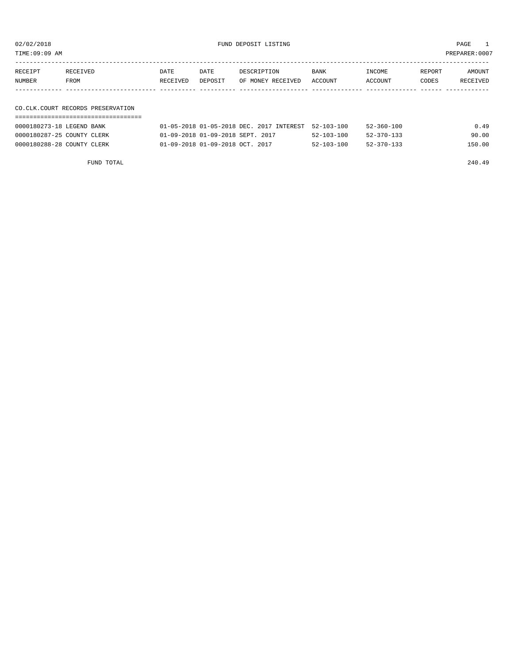02/02/2018 FUND DEPOSIT LISTING PAGE 1

| RECEIPT | <b>RECEIVED</b> | DATE     | DATE    | DESCRIPTION       | BANK    | INCOME  | REPORT | AMOUNT          |
|---------|-----------------|----------|---------|-------------------|---------|---------|--------|-----------------|
| NUMBER  | FROM            | RECEIVED | DEPOSIT | OF MONEY RECEIVED | ACCOUNT | ACCOUNT | CODES  | <b>RECEIVED</b> |
|         |                 |          |         |                   |         |         |        |                 |

### CO.CLK.COURT RECORDS PRESERVATION ===================================

| 0000180273-18 LEGEND BANK  | $01-05-2018$ $01-05-2018$ DEC, $2017$ INTEREST $52-103-100$ |                  | 52-360-100       | 0.49   |
|----------------------------|-------------------------------------------------------------|------------------|------------------|--------|
| 0000180287-25 COUNTY CLERK | 01-09-2018 01-09-2018 SEPT. 2017                            | $52 - 103 - 100$ | $52 - 370 - 133$ | 90.00  |
| 0000180288-28 COUNTY CLERK | $01 - 09 - 2018$ $01 - 09 - 2018$ $0CT$ . 2017              | $52 - 103 - 100$ | $52 - 370 - 133$ | 150.00 |

FUND TOTAL 240.49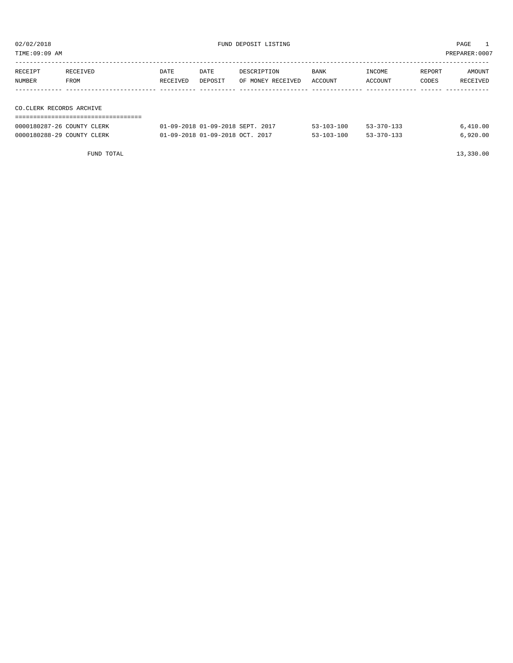| TIME:09:09 AM |                          |          |         |                   |             |         |        | PREPARER:0007 |
|---------------|--------------------------|----------|---------|-------------------|-------------|---------|--------|---------------|
|               |                          |          |         |                   |             |         |        |               |
| RECEIPT       | RECEIVED                 | DATE     | DATE    | DESCRIPTION       | <b>BANK</b> | INCOME  | REPORT | AMOUNT        |
| NUMBER        | FROM                     | RECEIVED | DEPOSIT | OF MONEY RECEIVED | ACCOUNT     | ACCOUNT | CODES  | RECEIVED      |
|               |                          |          |         |                   |             |         |        |               |
|               |                          |          |         |                   |             |         |        |               |
|               | CO.CLERK RECORDS ARCHIVE |          |         |                   |             |         |        |               |
|               |                          |          |         |                   |             |         |        |               |

| 0000180287-26 COUNTY CLERK | 01-09-2018 01-09-2018 SEPT. 2017 | $53 - 103 - 100$ | $53 - 370 - 133$ | 6.410.00 |
|----------------------------|----------------------------------|------------------|------------------|----------|
| 0000180288-29 COUNTY CLERK | 01-09-2018 01-09-2018 OCT, 2017  | $53 - 103 - 100$ | $53 - 370 - 133$ | 6.920.00 |

FUND TOTAL 13,330.00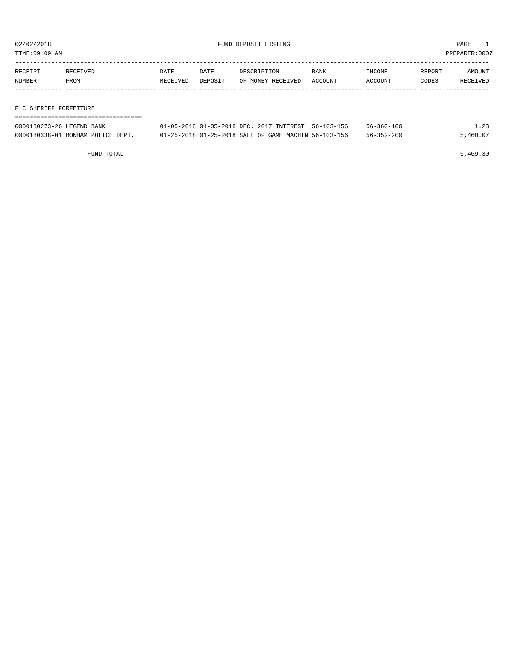TIME:09:09 AM PREPARER:0007

| RECEIPT | RECEIVED | DATE     | DATE    | DESCRIPTION       | BANK    | INCOME  | REPORT | AMOUNT   |
|---------|----------|----------|---------|-------------------|---------|---------|--------|----------|
| NUMBER  | FROM     | RECEIVED | DEPOSIT | OF MONEY RECEIVED | ACCOUNT | ACCOUNT | CODES  | RECEIVED |
|         |          |          |         |                   |         |         |        |          |
|         |          |          |         |                   |         |         |        |          |

F C SHERIFF FORFEITURE

| 0000180273-26 LEGEND BANK         | 01-05-2018 01-05-2018 DEC, 2017 INTEREST 56-103-156  | $56 - 360 - 100$ | 1.23     |
|-----------------------------------|------------------------------------------------------|------------------|----------|
| 0000180338-01 BONHAM POLICE DEPT. | 01-25-2018 01-25-2018 SALE OF GAME MACHIN 56-103-156 | $56 - 352 - 200$ | 5,468.07 |

FUND TOTAL  $5,469.30$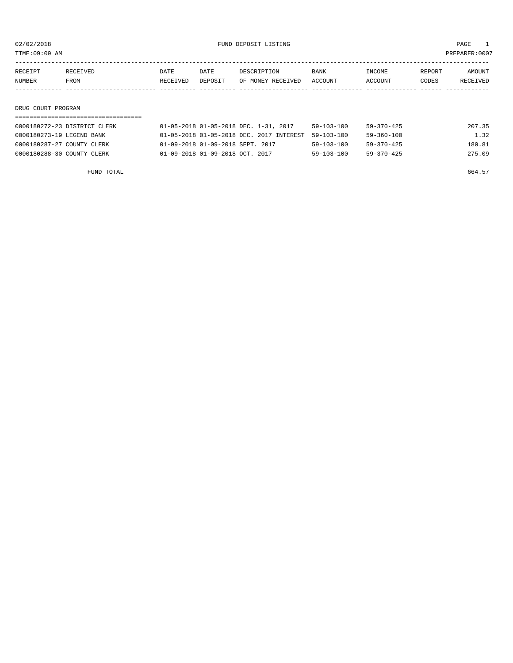TIME:09:09 AM PREPARER:0007

| RECEIPT | RECEIVED | DATE     | DATE    | DESCRIPTION       | <b>BANK</b> | INCOME  | REPORT | AMOUNT   |
|---------|----------|----------|---------|-------------------|-------------|---------|--------|----------|
| NUMBER  | FROM     | RECEIVED | DEPOSIT | OF MONEY RECEIVED | ACCOUNT     | ACCOUNT | CODES  | RECEIVED |
|         |          |          |         |                   |             |         |        |          |
|         |          |          |         |                   |             |         |        |          |

## DRUG COURT PROGRAM

| 0000180272-23 DISTRICT CLERK | 01-05-2018 01-05-2018 DEC. 1-31, 2017    | 59-103-100       | 59-370-425       | 207.35 |
|------------------------------|------------------------------------------|------------------|------------------|--------|
| 0000180273-19 LEGEND BANK    | 01-05-2018 01-05-2018 DEC. 2017 INTEREST | 59-103-100       | 59-360-100       | 1.32   |
| 0000180287-27 COUNTY CLERK   | 01-09-2018 01-09-2018 SEPT. 2017         | $59 - 103 - 100$ | 59-370-425       | 180.81 |
| 0000180288-30 COUNTY CLERK   | 01-09-2018 01-09-2018 OCT. 2017          | $59 - 103 - 100$ | $59 - 370 - 425$ | 275.09 |

FUND TOTAL 664.57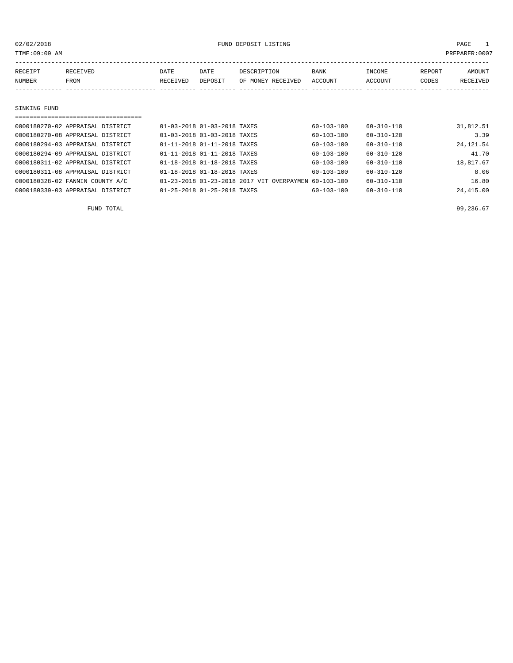TIME:09:09 AM PREPARER:0007

| RECEIPT      | RECEIVED | DATE     | DATE    | DESCRIPTION       | <b>BANK</b> | INCOME  | REPORT | AMOUNT   |
|--------------|----------|----------|---------|-------------------|-------------|---------|--------|----------|
| NUMBER       | FROM     | RECEIVED | DEPOSIT | OF MONEY RECEIVED | ACCOUNT     | ACCOUNT | CODES  | RECEIVED |
|              |          |          |         |                   |             |         |        |          |
|              |          |          |         |                   |             |         |        |          |
| SINKING FUND |          |          |         |                   |             |         |        |          |
|              |          |          |         |                   |             |         |        |          |

| 0000180270-02 APPRAISAL DISTRICT | 01-03-2018 01-03-2018 TAXES             |                                                      | $60 - 103 - 100$ | $60 - 310 - 110$ | 31,812.51  |
|----------------------------------|-----------------------------------------|------------------------------------------------------|------------------|------------------|------------|
| 0000180270-08 APPRAISAL DISTRICT | 01-03-2018 01-03-2018 TAXES             |                                                      | $60 - 103 - 100$ | $60 - 310 - 120$ | 3.39       |
| 0000180294-03 APPRAISAL DISTRICT | 01-11-2018 01-11-2018 TAXES             |                                                      | $60 - 103 - 100$ | $60 - 310 - 110$ | 24, 121.54 |
| 0000180294-09 APPRAISAL DISTRICT | 01-11-2018 01-11-2018 TAXES             |                                                      | $60 - 103 - 100$ | $60 - 310 - 120$ | 41.70      |
| 0000180311-02 APPRAISAL DISTRICT | 01-18-2018 01-18-2018 TAXES             |                                                      | $60 - 103 - 100$ | $60 - 310 - 110$ | 18,817.67  |
| 0000180311-08 APPRAISAL DISTRICT | 01-18-2018 01-18-2018 TAXES             |                                                      | $60 - 103 - 100$ | $60 - 310 - 120$ | 8.06       |
| 0000180328-02 FANNIN COUNTY A/C  |                                         | 01-23-2018 01-23-2018 2017 VIT OVERPAYMEN 60-103-100 |                  | $60 - 310 - 110$ | 16.80      |
| 0000180339-03 APPRAISAL DISTRICT | $01 - 25 - 2018$ $01 - 25 - 2018$ TAXES |                                                      | $60 - 103 - 100$ | $60 - 310 - 110$ | 24,415.00  |
|                                  |                                         |                                                      |                  |                  |            |

FUND TOTAL  $99,236.67$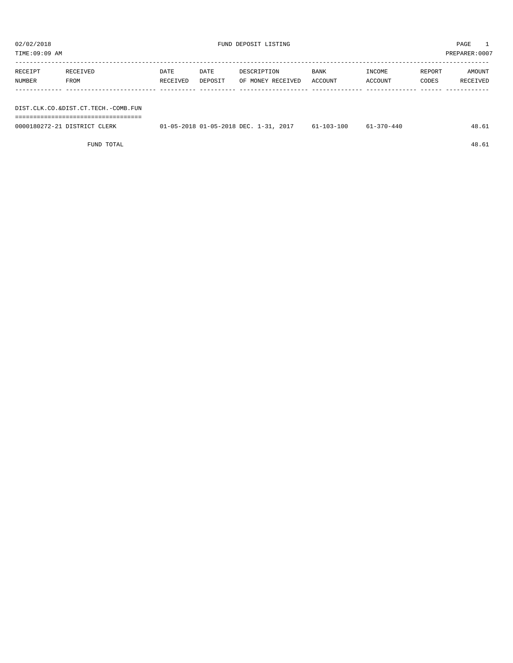| TIME:09:09 AM     |                  |                  |                 |                                  |                 |                   |                 | PREPARER:0007      |
|-------------------|------------------|------------------|-----------------|----------------------------------|-----------------|-------------------|-----------------|--------------------|
| RECEIPT<br>NUMBER | RECEIVED<br>FROM | DATE<br>RECEIVED | DATE<br>DEPOSIT | DESCRIPTION<br>OF MONEY RECEIVED | BANK<br>ACCOUNT | INCOME<br>ACCOUNT | REPORT<br>CODES | AMOUNT<br>RECEIVED |
|                   |                  |                  |                 |                                  |                 |                   |                 |                    |
|                   |                  |                  |                 |                                  |                 |                   |                 |                    |

DIST.CLK.CO.&DIST.CT.TECH.-COMB.FUN

| 0000180272-21 DISTRICT CLERK | 01-05-2018 01-05-2018 DEC. 1-31, 2017 | 61-103-100 | $61 - 370 - 440$ | 48.61 |
|------------------------------|---------------------------------------|------------|------------------|-------|

FUND TOTAL 48.61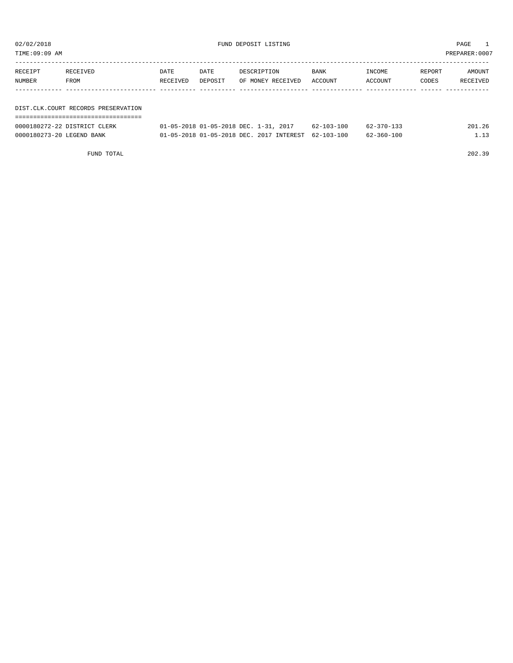| 02/02/2018<br>FUND DEPOSIT LISTING<br>TIME:09:09 AM |                                     |                  |                 |                                                                                   |                                      |                                      | PAGE<br>PREPARER: 0007 |                    |
|-----------------------------------------------------|-------------------------------------|------------------|-----------------|-----------------------------------------------------------------------------------|--------------------------------------|--------------------------------------|------------------------|--------------------|
| RECEIPT<br>NUMBER                                   | RECEIVED<br>FROM                    | DATE<br>RECEIVED | DATE<br>DEPOSIT | DESCRIPTION<br>OF MONEY RECEIVED                                                  | BANK<br>ACCOUNT                      | INCOME<br>ACCOUNT                    | REPORT<br>CODES        | AMOUNT<br>RECEIVED |
|                                                     | DIST.CLK.COURT RECORDS PRESERVATION |                  |                 |                                                                                   |                                      |                                      |                        |                    |
| 0000180273-20 LEGEND BANK                           | 0000180272-22 DISTRICT CLERK        |                  |                 | 01-05-2018 01-05-2018 DEC. 1-31, 2017<br>01-05-2018 01-05-2018 DEC. 2017 INTEREST | $62 - 103 - 100$<br>$62 - 103 - 100$ | $62 - 370 - 133$<br>$62 - 360 - 100$ |                        | 201.26<br>1.13     |

FUND TOTAL 202.39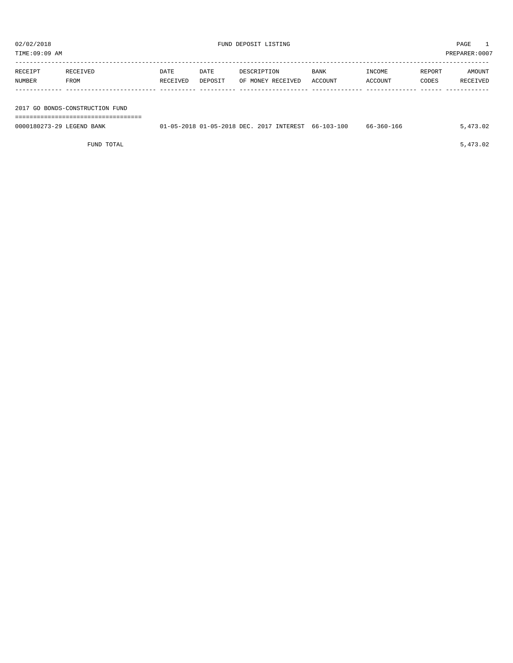| TIME:09:09 AM             |                                                                        |                  |                 |                                                     |                 |                   |                 | PREPARER:0007      |
|---------------------------|------------------------------------------------------------------------|------------------|-----------------|-----------------------------------------------------|-----------------|-------------------|-----------------|--------------------|
| RECEIPT<br>NUMBER         | RECEIVED<br>FROM                                                       | DATE<br>RECEIVED | DATE<br>DEPOSIT | DESCRIPTION<br>OF MONEY RECEIVED                    | BANK<br>ACCOUNT | INCOME<br>ACCOUNT | REPORT<br>CODES | AMOUNT<br>RECEIVED |
|                           | 2017 GO BONDS-CONSTRUCTION FUND<br>=================================== |                  |                 |                                                     |                 |                   |                 |                    |
| 0000180273-29 LEGEND BANK |                                                                        |                  |                 | 01-05-2018 01-05-2018 DEC. 2017 INTEREST 66-103-100 |                 | 66-360-166        |                 | 5,473.02           |

FUND TOTAL  $5,473.02$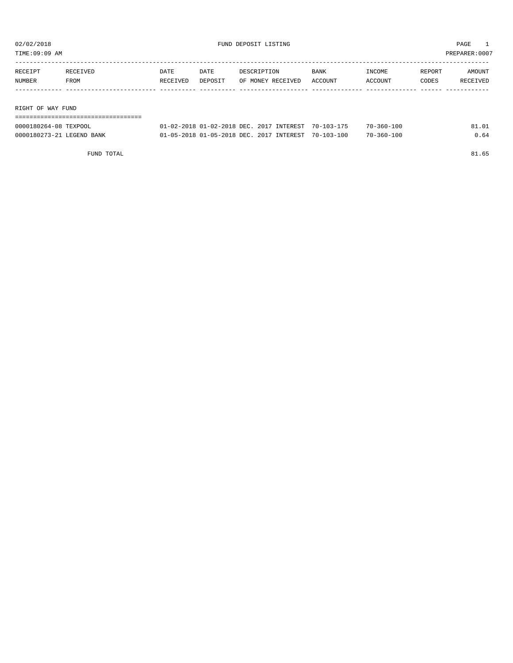TIME:09:09 AM PREPARER:0007

| RECEIPT           | RECEIVED | DATE     | DATE    | DESCRIPTION       | <b>BANK</b> | INCOME  | REPORT | AMOUNT   |
|-------------------|----------|----------|---------|-------------------|-------------|---------|--------|----------|
| NUMBER            | FROM     | RECEIVED | DEPOSIT | OF MONEY RECEIVED | ACCOUNT     | ACCOUNT | CODES  | RECEIVED |
|                   |          |          |         |                   |             |         |        |          |
|                   |          |          |         |                   |             |         |        |          |
| PICHT OF WAY FUND |          |          |         |                   |             |         |        |          |

RIGHT OF WAY FUND

| ================================= |                                                     |  |                  |       |
|-----------------------------------|-----------------------------------------------------|--|------------------|-------|
| 0000180264-08 TEXPOOL             | 01-02-2018 01-02-2018 DEC. 2017 INTEREST 70-103-175 |  | 70-360-100       | 81.01 |
| 0000180273-21 LEGEND BANK         | 01-05-2018 01-05-2018 DEC. 2017 INTEREST 70-103-100 |  | $70 - 360 - 100$ | 0.64  |

FUND TOTAL 81.65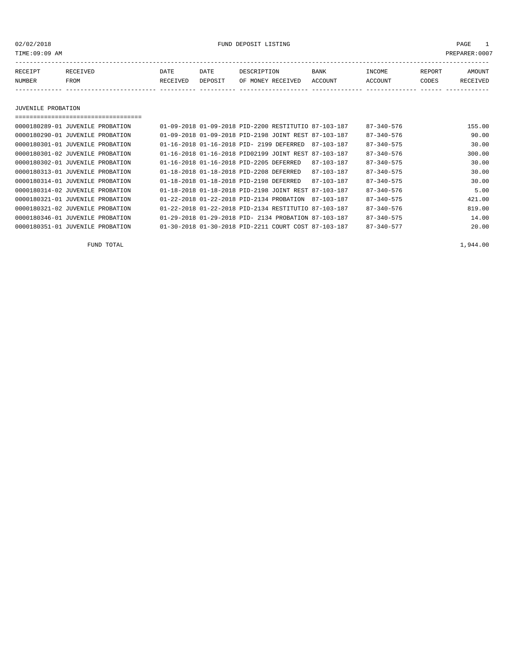02/02/2018 FUND DEPOSIT LISTING PAGE 1

| RECEIPT | RECEIVED | DATE     | DATE    | DESCRIPTION       | <b>BANK</b> | INCOME  | <b>REPORT</b> | AMOUNT          |
|---------|----------|----------|---------|-------------------|-------------|---------|---------------|-----------------|
| NUMBER  | FROM     | RECEIVED | DEPOSIT | OF MONEY RECEIVED | ACCOUNT     | ACCOUNT | CODES         | <b>RECEIVED</b> |
|         |          |          |         |                   |             |         |               |                 |

JUVENILE PROBATION

| ,,,,,,,,,,,,,,,,,,,,,,,,,,,,,,,,,,,,,, |                                                      |  |                  |                  |        |
|----------------------------------------|------------------------------------------------------|--|------------------|------------------|--------|
| 0000180289-01 JUVENILE PROBATION       | 01-09-2018 01-09-2018 PID-2200 RESTITUTIO 87-103-187 |  |                  | $87 - 340 - 576$ | 155.00 |
| 0000180290-01 JUVENILE PROBATION       | 01-09-2018 01-09-2018 PID-2198 JOINT REST 87-103-187 |  |                  | 87-340-576       | 90.00  |
| 0000180301-01 JUVENILE PROBATION       | 01-16-2018 01-16-2018 PID- 2199 DEFERRED             |  | 87-103-187       | $87 - 340 - 575$ | 30.00  |
| 0000180301-02 JUVENILE PROBATION       | 01-16-2018 01-16-2018 PID02199 JOINT REST 87-103-187 |  |                  | $87 - 340 - 576$ | 300.00 |
| 0000180302-01 JUVENILE PROBATION       | 01-16-2018 01-16-2018 PID-2205 DEFERRED              |  | 87-103-187       | $87 - 340 - 575$ | 30.00  |
| 0000180313-01 JUVENILE PROBATION       | 01-18-2018 01-18-2018 PID-2208 DEFERRED              |  | $87 - 103 - 187$ | $87 - 340 - 575$ | 30.00  |
| 0000180314-01 JUVENILE PROBATION       | 01-18-2018 01-18-2018 PID-2198 DEFERRED              |  | $87 - 103 - 187$ | $87 - 340 - 575$ | 30.00  |
| 0000180314-02 JUVENILE PROBATION       | 01-18-2018 01-18-2018 PID-2198 JOINT REST 87-103-187 |  |                  | $87 - 340 - 576$ | 5.00   |
| 0000180321-01 JUVENILE PROBATION       | 01-22-2018 01-22-2018 PID-2134 PROBATION             |  | 87-103-187       | $87 - 340 - 575$ | 421.00 |
| 0000180321-02 JUVENILE PROBATION       | 01-22-2018 01-22-2018 PID-2134 RESTITUTIO 87-103-187 |  |                  | $87 - 340 - 576$ | 819.00 |
| 0000180346-01 JUVENILE PROBATION       | 01-29-2018 01-29-2018 PID- 2134 PROBATION 87-103-187 |  |                  | $87 - 340 - 575$ | 14.00  |
| 0000180351-01 JUVENILE PROBATION       | 01-30-2018 01-30-2018 PID-2211 COURT COST 87-103-187 |  |                  | $87 - 340 - 577$ | 20.00  |

FUND TOTAL  $1,944.00$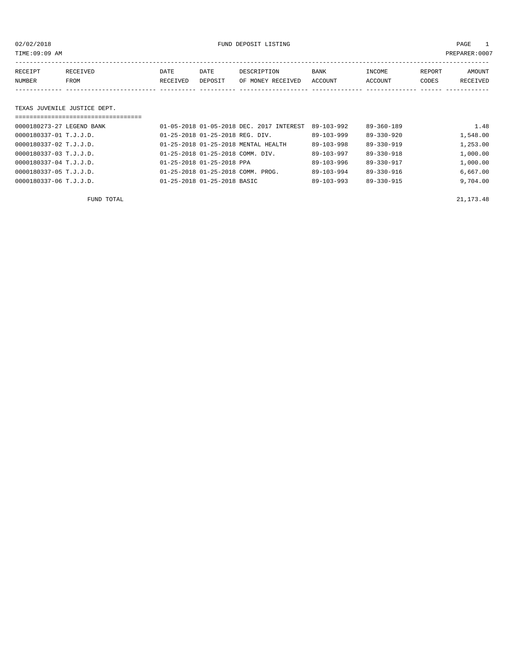02/02/2018 FUND DEPOSIT LISTING PAGE 1

| RECEIPT | RECEIVED | DATE     | DATE    | DESCRIPTION       | <b>BANK</b> | INCOME  | REPORT | AMOUNT          |
|---------|----------|----------|---------|-------------------|-------------|---------|--------|-----------------|
| NUMBER  | FROM     | RECEIVED | DEPOSIT | OF MONEY RECEIVED | ACCOUNT     | ACCOUNT | CODES  | <b>RECEIVED</b> |
|         |          |          |         |                   |             |         |        |                 |

### TEXAS JUVENILE JUSTICE DEPT.

| ================================== |                                               |                  |                  |          |
|------------------------------------|-----------------------------------------------|------------------|------------------|----------|
| 0000180273-27 LEGEND BANK          | 01-05-2018 01-05-2018 DEC. 2017 INTEREST      | 89-103-992       | $89 - 360 - 189$ | 1.48     |
| 0000180337-01 T.J.J.D.             | 01-25-2018 01-25-2018 REG. DIV.               | $89 - 103 - 999$ | $89 - 330 - 920$ | 1,548.00 |
| 0000180337-02 T.J.J.D.             | 01-25-2018 01-25-2018 MENTAL HEALTH           | $89 - 103 - 998$ | $89 - 330 - 919$ | 1,253.00 |
| 0000180337-03 T.J.J.D.             | 01-25-2018 01-25-2018 COMM. DIV.              | $89 - 103 - 997$ | $89 - 330 - 918$ | 1,000.00 |
| 0000180337-04 T.J.J.D.             | $01 - 25 - 2018$ $01 - 25 - 2018$ PPA         | $89 - 103 - 996$ | $89 - 330 - 917$ | 1,000.00 |
| 0000180337-05 T.J.J.D.             | $01 - 25 - 2018$ $01 - 25 - 2018$ COMM. PROG. | $89 - 103 - 994$ | 89-330-916       | 6,667.00 |
| 0000180337-06 T.J.J.D.             | 01-25-2018 01-25-2018 BASIC                   | $89 - 103 - 993$ | 89-330-915       | 9,704.00 |

FUND TOTAL 21,173.48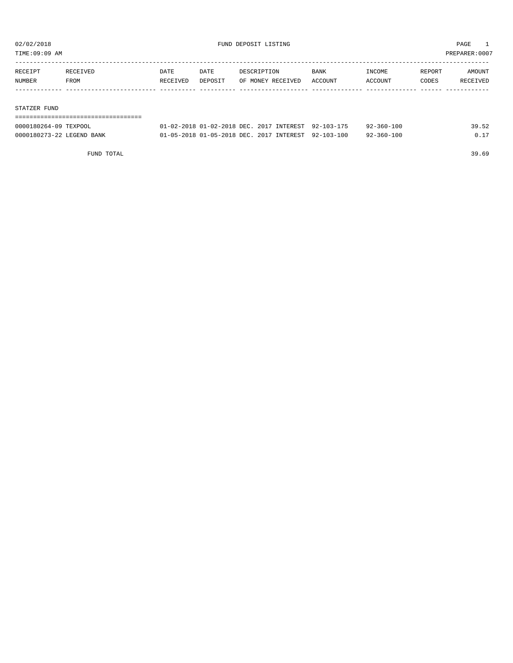TIME:09:09 AM PREPARER:0007

| RECEIPT | RECEIVED | DATE     | DATE    | DESCRIPTION       | BANK    | INCOME  | REPORT | AMOUNT   |
|---------|----------|----------|---------|-------------------|---------|---------|--------|----------|
| NUMBER  | FROM     | RECEIVED | DEPOSIT | OF MONEY RECEIVED | ACCOUNT | ACCOUNT | CODES  | RECEIVED |
|         |          |          |         |                   |         |         |        |          |
|         |          |          |         |                   |         |         |        |          |

#### STATZER FUND

| --------------------      |                                                     |  |                  |       |
|---------------------------|-----------------------------------------------------|--|------------------|-------|
| 0000180264-09 TEXPOOL     | 01-02-2018 01-02-2018 DEC. 2017 INTEREST 92-103-175 |  | $92 - 360 - 100$ | 39.52 |
| 0000180273-22 LEGEND BANK | 01-05-2018 01-05-2018 DEC. 2017 INTEREST 92-103-100 |  | $92 - 360 - 100$ | 0.17  |

FUND TOTAL 39.69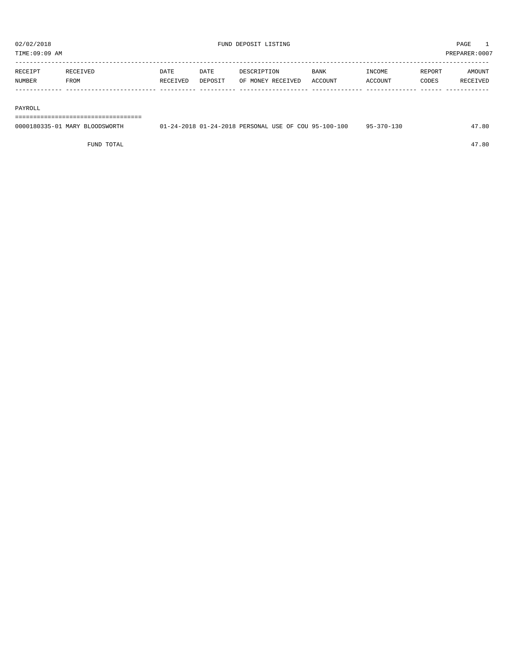TIME:09:09 AM PREPARER:0007

----------------------------------------------------------------------------------------------------------------------------------- RECEIPT RECEIVED DATE DATE DESCRIPTION BANK INCOME REPORT AMOUNT NUMBER FROM RECEIVED DEPOSIT OF MONEY RECEIVED ACCOUNT ACCOUNT CODES RECEIVED ------------- ------------------------- ---------- ---------- ------------------- -------------- -------------- ------ ------------

#### PAYROLL

===================================

| 0000180335-01 MARY BLOODSWORTH | 01-24-2018 01-24-2018 PERSONAL USE OF COU 95-100-100 |  | 95-370-130 | 47.80 |
|--------------------------------|------------------------------------------------------|--|------------|-------|
|                                |                                                      |  |            |       |

FUND TOTAL 47.80